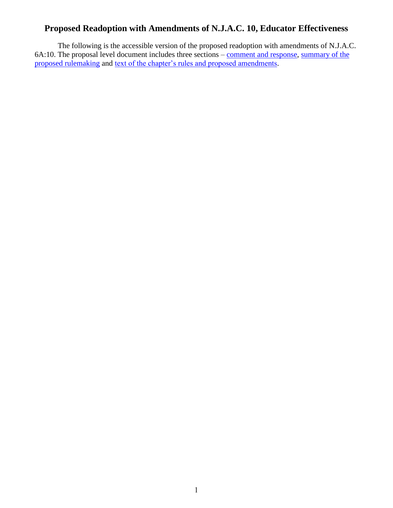## **Proposed Readoption with Amendments of N.J.A.C. 10, Educator Effectiveness**

The following is the accessible version of the proposed readoption with amendments of N.J.A.C. 6A:10. The proposal level document includes three sections – [comment and response,](#page-1-0) [summary of the](#page-7-0)  [proposed rulemaking](#page-7-0) and [text of the chapter's rules and proposed amendments.](#page-15-0)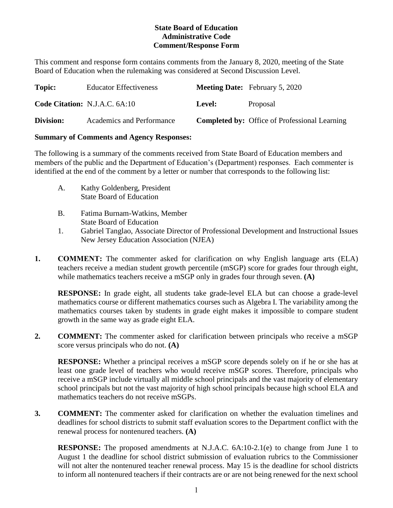## **State Board of Education Administrative Code Comment/Response Form**

<span id="page-1-0"></span>This comment and response form contains comments from the January 8, 2020, meeting of the State Board of Education when the rulemaking was considered at Second Discussion Level.

| Topic:    | <b>Educator Effectiveness</b>        |               | <b>Meeting Date:</b> February 5, 2020                |
|-----------|--------------------------------------|---------------|------------------------------------------------------|
|           | <b>Code Citation: N.J.A.C. 6A:10</b> | <b>Level:</b> | Proposal                                             |
| Division: | Academics and Performance            |               | <b>Completed by:</b> Office of Professional Learning |

### **Summary of Comments and Agency Responses:**

The following is a summary of the comments received from State Board of Education members and members of the public and the Department of Education's (Department) responses. Each commenter is identified at the end of the comment by a letter or number that corresponds to the following list:

- A. Kathy Goldenberg, President State Board of Education
- B. Fatima Burnam-Watkins, Member State Board of Education
- 1. Gabriel Tanglao, Associate Director of Professional Development and Instructional Issues New Jersey Education Association (NJEA)
- **1. COMMENT:** The commenter asked for clarification on why English language arts (ELA) teachers receive a median student growth percentile (mSGP) score for grades four through eight, while mathematics teachers receive a mSGP only in grades four through seven. **(A)**

**RESPONSE:** In grade eight, all students take grade-level ELA but can choose a grade-level mathematics course or different mathematics courses such as Algebra I. The variability among the mathematics courses taken by students in grade eight makes it impossible to compare student growth in the same way as grade eight ELA.

**2. COMMENT:** The commenter asked for clarification between principals who receive a mSGP score versus principals who do not. **(A)**

**RESPONSE:** Whether a principal receives a mSGP score depends solely on if he or she has at least one grade level of teachers who would receive mSGP scores. Therefore, principals who receive a mSGP include virtually all middle school principals and the vast majority of elementary school principals but not the vast majority of high school principals because high school ELA and mathematics teachers do not receive mSGPs.

**3. COMMENT:** The commenter asked for clarification on whether the evaluation timelines and deadlines for school districts to submit staff evaluation scores to the Department conflict with the renewal process for nontenured teachers. **(A)**

**RESPONSE:** The proposed amendments at N.J.A.C. 6A:10-2.1(e) to change from June 1 to August 1 the deadline for school district submission of evaluation rubrics to the Commissioner will not alter the nontenured teacher renewal process. May 15 is the deadline for school districts to inform all nontenured teachers if their contracts are or are not being renewed for the next school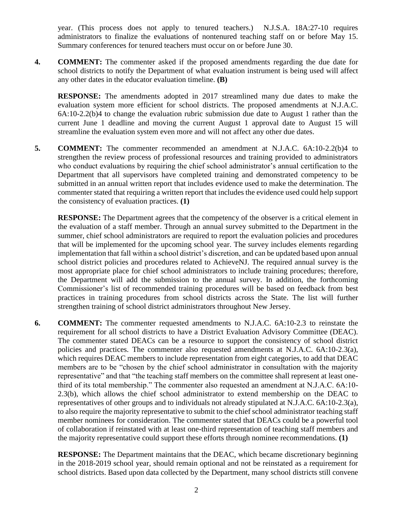year. (This process does not apply to tenured teachers.) N.J.S.A. 18A:27-10 requires administrators to finalize the evaluations of nontenured teaching staff on or before May 15. Summary conferences for tenured teachers must occur on or before June 30.

**4. COMMENT:** The commenter asked if the proposed amendments regarding the due date for school districts to notify the Department of what evaluation instrument is being used will affect any other dates in the educator evaluation timeline. **(B)**

**RESPONSE:** The amendments adopted in 2017 streamlined many due dates to make the evaluation system more efficient for school districts. The proposed amendments at N.J.A.C. 6A:10-2.2(b)4 to change the evaluation rubric submission due date to August 1 rather than the current June 1 deadline and moving the current August 1 approval date to August 15 will streamline the evaluation system even more and will not affect any other due dates.

**5. COMMENT:** The commenter recommended an amendment at N.J.A.C. 6A:10-2.2(b)4 to strengthen the review process of professional resources and training provided to administrators who conduct evaluations by requiring the chief school administrator's annual certification to the Department that all supervisors have completed training and demonstrated competency to be submitted in an annual written report that includes evidence used to make the determination. The commenter stated that requiring a written report that includes the evidence used could help support the consistency of evaluation practices. **(1)**

**RESPONSE:** The Department agrees that the competency of the observer is a critical element in the evaluation of a staff member. Through an annual survey submitted to the Department in the summer, chief school administrators are required to report the evaluation policies and procedures that will be implemented for the upcoming school year. The survey includes elements regarding implementation that fall within a school district's discretion, and can be updated based upon annual school district policies and procedures related to AchieveNJ. The required annual survey is the most appropriate place for chief school administrators to include training procedures; therefore, the Department will add the submission to the annual survey. In addition, the forthcoming Commissioner's list of recommended training procedures will be based on feedback from best practices in training procedures from school districts across the State. The list will further strengthen training of school district administrators throughout New Jersey.

**6. COMMENT:** The commenter requested amendments to N.J.A.C. 6A:10-2.3 to reinstate the requirement for all school districts to have a District Evaluation Advisory Committee (DEAC). The commenter stated DEACs can be a resource to support the consistency of school district policies and practices. The commenter also requested amendments at N.J.A.C. 6A:10-2.3(a), which requires DEAC members to include representation from eight categories, to add that DEAC members are to be "chosen by the chief school administrator in consultation with the majority representative" and that "the teaching staff members on the committee shall represent at least onethird of its total membership." The commenter also requested an amendment at N.J.A.C. 6A:10- 2.3(b), which allows the chief school administrator to extend membership on the DEAC to representatives of other groups and to individuals not already stipulated at N.J.A.C. 6A:10-2.3(a), to also require the majority representative to submit to the chief school administrator teaching staff member nominees for consideration. The commenter stated that DEACs could be a powerful tool of collaboration if reinstated with at least one-third representation of teaching staff members and the majority representative could support these efforts through nominee recommendations. **(1)**

**RESPONSE:** The Department maintains that the DEAC, which became discretionary beginning in the 2018-2019 school year, should remain optional and not be reinstated as a requirement for school districts. Based upon data collected by the Department, many school districts still convene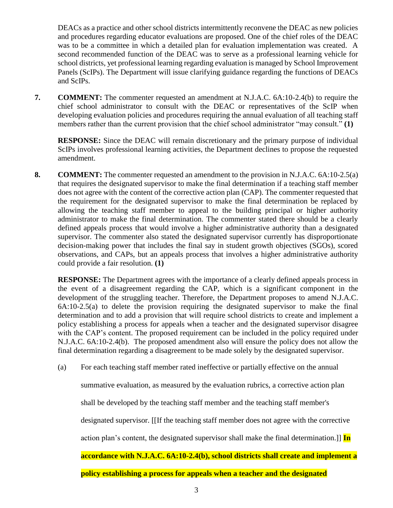DEACs as a practice and other school districts intermittently reconvene the DEAC as new policies and procedures regarding educator evaluations are proposed. One of the chief roles of the DEAC was to be a committee in which a detailed plan for evaluation implementation was created. A second recommended function of the DEAC was to serve as a professional learning vehicle for school districts, yet professional learning regarding evaluation is managed by School Improvement Panels (ScIPs). The Department will issue clarifying guidance regarding the functions of DEACs and ScIPs.

**7. COMMENT:** The commenter requested an amendment at N.J.A.C. 6A:10-2.4(b) to require the chief school administrator to consult with the DEAC or representatives of the ScIP when developing evaluation policies and procedures requiring the annual evaluation of all teaching staff members rather than the current provision that the chief school administrator "may consult." **(1)**

**RESPONSE:** Since the DEAC will remain discretionary and the primary purpose of individual ScIPs involves professional learning activities, the Department declines to propose the requested amendment.

**8. COMMENT:** The commenter requested an amendment to the provision in N.J.A.C. 6A:10-2.5(a) that requires the designated supervisor to make the final determination if a teaching staff member does not agree with the content of the corrective action plan (CAP). The commenter requested that the requirement for the designated supervisor to make the final determination be replaced by allowing the teaching staff member to appeal to the building principal or higher authority administrator to make the final determination. The commenter stated there should be a clearly defined appeals process that would involve a higher administrative authority than a designated supervisor. The commenter also stated the designated supervisor currently has disproportionate decision-making power that includes the final say in student growth objectives (SGOs), scored observations, and CAPs, but an appeals process that involves a higher administrative authority could provide a fair resolution. **(1)**

**RESPONSE:** The Department agrees with the importance of a clearly defined appeals process in the event of a disagreement regarding the CAP, which is a significant component in the development of the struggling teacher. Therefore, the Department proposes to amend N.J.A.C. 6A:10-2.5(a) to delete the provision requiring the designated supervisor to make the final determination and to add a provision that will require school districts to create and implement a policy establishing a process for appeals when a teacher and the designated supervisor disagree with the CAP's content. The proposed requirement can be included in the policy required under N.J.A.C. 6A:10-2.4(b). The proposed amendment also will ensure the policy does not allow the final determination regarding a disagreement to be made solely by the designated supervisor.

(a) For each teaching staff member rated ineffective or partially effective on the annual

summative evaluation, as measured by the evaluation rubrics, a corrective action plan

shall be developed by the teaching staff member and the teaching staff member's

designated supervisor. [[If the teaching staff member does not agree with the corrective

action plan's content, the designated supervisor shall make the final determination.]] **In** 

## **accordance with N.J.A.C. 6A:10-2.4(b), school districts shall create and implement a**

**policy establishing a process for appeals when a teacher and the designated**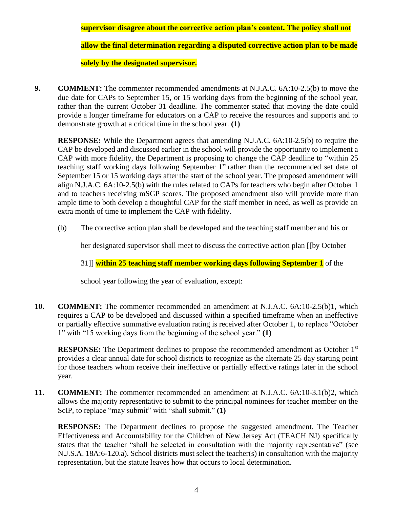**supervisor disagree about the corrective action plan's content. The policy shall not** 

**allow the final determination regarding a disputed corrective action plan to be made** 

**solely by the designated supervisor.**

**9. COMMENT:** The commenter recommended amendments at N.J.A.C. 6A:10-2.5(b) to move the due date for CAPs to September 15, or 15 working days from the beginning of the school year, rather than the current October 31 deadline. The commenter stated that moving the date could provide a longer timeframe for educators on a CAP to receive the resources and supports and to demonstrate growth at a critical time in the school year. **(1)**

**RESPONSE:** While the Department agrees that amending N.J.A.C. 6A:10-2.5(b) to require the CAP be developed and discussed earlier in the school will provide the opportunity to implement a CAP with more fidelity, the Department is proposing to change the CAP deadline to "within 25 teaching staff working days following September 1" rather than the recommended set date of September 15 or 15 working days after the start of the school year. The proposed amendment will align N.J.A.C. 6A:10-2.5(b) with the rules related to CAPs for teachers who begin after October 1 and to teachers receiving mSGP scores. The proposed amendment also will provide more than ample time to both develop a thoughtful CAP for the staff member in need, as well as provide an extra month of time to implement the CAP with fidelity.

(b) The corrective action plan shall be developed and the teaching staff member and his or

her designated supervisor shall meet to discuss the corrective action plan [[by October

31]] **within 25 teaching staff member working days following September 1** of the

school year following the year of evaluation, except:

**10. COMMENT:** The commenter recommended an amendment at N.J.A.C. 6A:10-2.5(b)1, which requires a CAP to be developed and discussed within a specified timeframe when an ineffective or partially effective summative evaluation rating is received after October 1, to replace "October 1" with "15 working days from the beginning of the school year." **(1)**

**RESPONSE:** The Department declines to propose the recommended amendment as October 1<sup>st</sup> provides a clear annual date for school districts to recognize as the alternate 25 day starting point for those teachers whom receive their ineffective or partially effective ratings later in the school year.

**11. COMMENT:** The commenter recommended an amendment at N.J.A.C. 6A:10-3.1(b)2, which allows the majority representative to submit to the principal nominees for teacher member on the ScIP, to replace "may submit" with "shall submit." **(1)**

**RESPONSE:** The Department declines to propose the suggested amendment. The Teacher Effectiveness and Accountability for the Children of New Jersey Act (TEACH NJ) specifically states that the teacher "shall be selected in consultation with the majority representative" (see N.J.S.A. 18A:6-120.a). School districts must select the teacher(s) in consultation with the majority representation, but the statute leaves how that occurs to local determination.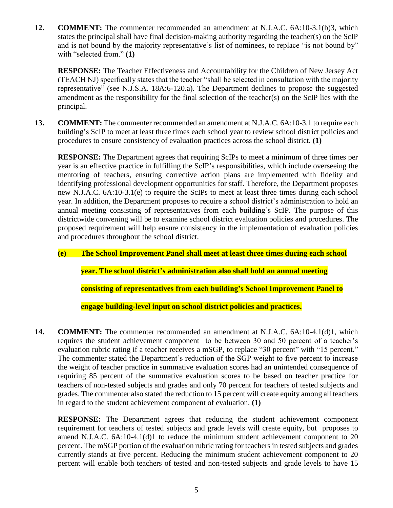**12. COMMENT:** The commenter recommended an amendment at N.J.A.C. 6A:10-3.1(b)3, which states the principal shall have final decision-making authority regarding the teacher(s) on the ScIP and is not bound by the majority representative's list of nominees, to replace "is not bound by" with "selected from." **(1)**

**RESPONSE:** The Teacher Effectiveness and Accountability for the Children of New Jersey Act (TEACH NJ) specifically states that the teacher "shall be selected in consultation with the majority representative" (see N.J.S.A. 18A:6-120.a). The Department declines to propose the suggested amendment as the responsibility for the final selection of the teacher(s) on the ScIP lies with the principal.

**13. COMMENT:** The commenter recommended an amendment at N.J.A.C. 6A:10-3.1 to require each building's ScIP to meet at least three times each school year to review school district policies and procedures to ensure consistency of evaluation practices across the school district. **(1)**

**RESPONSE:** The Department agrees that requiring ScIPs to meet a minimum of three times per year is an effective practice in fulfilling the ScIP's responsibilities, which include overseeing the mentoring of teachers, ensuring corrective action plans are implemented with fidelity and identifying professional development opportunities for staff. Therefore, the Department proposes new N.J.A.C. 6A:10-3.1(e) to require the ScIPs to meet at least three times during each school year. In addition, the Department proposes to require a school district's administration to hold an annual meeting consisting of representatives from each building's ScIP. The purpose of this districtwide convening will be to examine school district evaluation policies and procedures. The proposed requirement will help ensure consistency in the implementation of evaluation policies and procedures throughout the school district.

**(e) The School Improvement Panel shall meet at least three times during each school** 

**year. The school district's administration also shall hold an annual meeting** 

**consisting of representatives from each building's School Improvement Panel to** 

**engage building-level input on school district policies and practices.**

**14. COMMENT:** The commenter recommended an amendment at N.J.A.C. 6A:10-4.1(d)1, which requires the student achievement component to be between 30 and 50 percent of a teacher's evaluation rubric rating if a teacher receives a mSGP, to replace "30 percent" with "15 percent." The commenter stated the Department's reduction of the SGP weight to five percent to increase the weight of teacher practice in summative evaluation scores had an unintended consequence of requiring 85 percent of the summative evaluation scores to be based on teacher practice for teachers of non-tested subjects and grades and only 70 percent for teachers of tested subjects and grades. The commenter also stated the reduction to 15 percent will create equity among all teachers in regard to the student achievement component of evaluation. **(1)**

**RESPONSE:** The Department agrees that reducing the student achievement component requirement for teachers of tested subjects and grade levels will create equity, but proposes to amend N.J.A.C. 6A:10-4.1(d)1 to reduce the minimum student achievement component to 20 percent. The mSGP portion of the evaluation rubric rating for teachers in tested subjects and grades currently stands at five percent. Reducing the minimum student achievement component to 20 percent will enable both teachers of tested and non-tested subjects and grade levels to have 15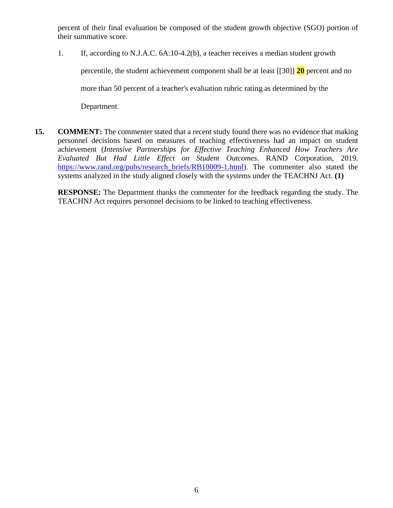percent of their final evaluation be composed of the student growth objective (SGO) portion of their summative score.

- 1. If, according to N.J.A.C. 6A:10-4.2(b), a teacher receives a median student growth percentile, the student achievement component shall be at least [[30]] **20** percent and no more than 50 percent of a teacher's evaluation rubric rating as determined by the Department.
- **15. COMMENT:** The commenter stated that a recent study found there was no evidence that making personnel decisions based on measures of teaching effectiveness had an impact on student achievement (*Intensive Partnerships for Effective Teaching Enhanced How Teachers Are Evaluated But Had Little Effect on Student Outcomes*. RAND Corporation, 2019. [https://www.rand.org/pubs/research\\_briefs/RB10009-1.html\)](https://www.rand.org/pubs/research_briefs/RB10009-1.html). The commenter also stated the systems analyzed in the study aligned closely with the systems under the TEACHNJ Act. **(1)**

**RESPONSE:** The Department thanks the commenter for the feedback regarding the study. The TEACHNJ Act requires personnel decisions to be linked to teaching effectiveness.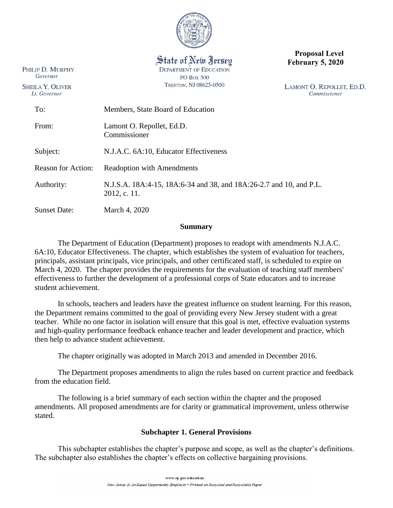

State of New Jersey **DEPARTMENT OF EDUCATION PO Box 500** TRENTON, NJ 08625-0500

PHILIP D. MURPHY Governor

**SHEILA Y. OLIVER** 

Lt. Governor

**Proposal Level February 5, 2020**

LAMONT O. REPOLLET, ED.D. Commissioner

| To:                       | Members, State Board of Education                                                   |  |
|---------------------------|-------------------------------------------------------------------------------------|--|
| From:                     | Lamont O. Repollet, Ed.D.<br>Commissioner                                           |  |
| Subject:                  | N.J.A.C. 6A:10, Educator Effectiveness                                              |  |
| <b>Reason for Action:</b> | <b>Readoption with Amendments</b>                                                   |  |
| Authority:                | N.J.S.A. 18A:4-15, 18A:6-34 and 38, and 18A:26-2.7 and 10, and P.L.<br>2012, c. 11. |  |
| <b>Sunset Date:</b>       | March 4, 2020                                                                       |  |
|                           |                                                                                     |  |

**Summary**

<span id="page-7-0"></span>The Department of Education (Department) proposes to readopt with amendments N.J.A.C. 6A:10, Educator Effectiveness. The chapter, which establishes the system of evaluation for teachers, principals, assistant principals, vice principals, and other certificated staff, is scheduled to expire on March 4, 2020. The chapter provides the requirements for the evaluation of teaching staff members' effectiveness to further the development of a professional corps of State educators and to increase student achievement.

In schools, teachers and leaders have the greatest influence on student learning. For this reason, the Department remains committed to the goal of providing every New Jersey student with a great teacher. While no one factor in isolation will ensure that this goal is met, effective evaluation systems and high-quality performance feedback enhance teacher and leader development and practice, which then help to advance student achievement.

The chapter originally was adopted in March 2013 and amended in December 2016.

The Department proposes amendments to align the rules based on current practice and feedback from the education field.

The following is a brief summary of each section within the chapter and the proposed amendments. All proposed amendments are for clarity or grammatical improvement, unless otherwise stated.

## **Subchapter 1. General Provisions**

This subchapter establishes the chapter's purpose and scope, as well as the chapter's definitions. The subchapter also establishes the chapter's effects on collective bargaining provisions.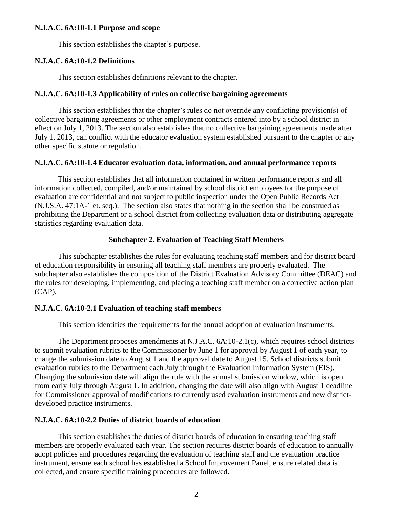#### **N.J.A.C. 6A:10-1.1 Purpose and scope**

This section establishes the chapter's purpose.

#### **N.J.A.C. 6A:10-1.2 Definitions**

This section establishes definitions relevant to the chapter.

#### **N.J.A.C. 6A:10-1.3 Applicability of rules on collective bargaining agreements**

This section establishes that the chapter's rules do not override any conflicting provision(s) of collective bargaining agreements or other employment contracts entered into by a school district in effect on July 1, 2013. The section also establishes that no collective bargaining agreements made after July 1, 2013, can conflict with the educator evaluation system established pursuant to the chapter or any other specific statute or regulation.

#### **N.J.A.C. 6A:10-1.4 Educator evaluation data, information, and annual performance reports**

This section establishes that all information contained in written performance reports and all information collected, compiled, and/or maintained by school district employees for the purpose of evaluation are confidential and not subject to public inspection under the Open Public Records Act (N.J.S.A. 47:1A-1 et. seq.). The section also states that nothing in the section shall be construed as prohibiting the Department or a school district from collecting evaluation data or distributing aggregate statistics regarding evaluation data.

### **Subchapter 2. Evaluation of Teaching Staff Members**

This subchapter establishes the rules for evaluating teaching staff members and for district board of education responsibility in ensuring all teaching staff members are properly evaluated. The subchapter also establishes the composition of the District Evaluation Advisory Committee (DEAC) and the rules for developing, implementing, and placing a teaching staff member on a corrective action plan (CAP).

### **N.J.A.C. 6A:10-2.1 Evaluation of teaching staff members**

This section identifies the requirements for the annual adoption of evaluation instruments.

The Department proposes amendments at N.J.A.C. 6A:10-2.1(c), which requires school districts to submit evaluation rubrics to the Commissioner by June 1 for approval by August 1 of each year, to change the submission date to August 1 and the approval date to August 15. School districts submit evaluation rubrics to the Department each July through the Evaluation Information System (EIS). Changing the submission date will align the rule with the annual submission window, which is open from early July through August 1. In addition, changing the date will also align with August 1 deadline for Commissioner approval of modifications to currently used evaluation instruments and new districtdeveloped practice instruments.

## **N.J.A.C. 6A:10-2.2 Duties of district boards of education**

This section establishes the duties of district boards of education in ensuring teaching staff members are properly evaluated each year. The section requires district boards of education to annually adopt policies and procedures regarding the evaluation of teaching staff and the evaluation practice instrument, ensure each school has established a School Improvement Panel, ensure related data is collected, and ensure specific training procedures are followed.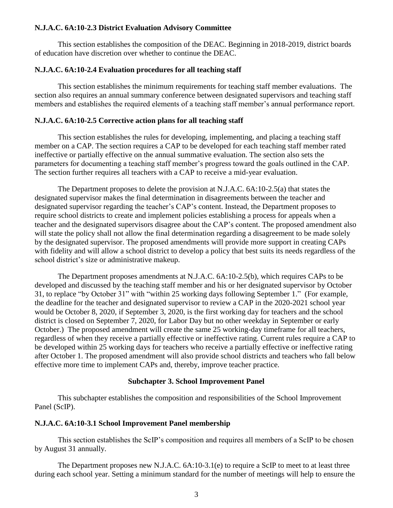#### **N.J.A.C. 6A:10-2.3 District Evaluation Advisory Committee**

This section establishes the composition of the DEAC. Beginning in 2018-2019, district boards of education have discretion over whether to continue the DEAC.

#### **N.J.A.C. 6A:10-2.4 Evaluation procedures for all teaching staff**

This section establishes the minimum requirements for teaching staff member evaluations. The section also requires an annual summary conference between designated supervisors and teaching staff members and establishes the required elements of a teaching staff member's annual performance report.

## **N.J.A.C. 6A:10-2.5 Corrective action plans for all teaching staff**

This section establishes the rules for developing, implementing, and placing a teaching staff member on a CAP. The section requires a CAP to be developed for each teaching staff member rated ineffective or partially effective on the annual summative evaluation. The section also sets the parameters for documenting a teaching staff member's progress toward the goals outlined in the CAP. The section further requires all teachers with a CAP to receive a mid-year evaluation.

The Department proposes to delete the provision at N.J.A.C. 6A:10-2.5(a) that states the designated supervisor makes the final determination in disagreements between the teacher and designated supervisor regarding the teacher's CAP's content. Instead, the Department proposes to require school districts to create and implement policies establishing a process for appeals when a teacher and the designated supervisors disagree about the CAP's content. The proposed amendment also will state the policy shall not allow the final determination regarding a disagreement to be made solely by the designated supervisor. The proposed amendments will provide more support in creating CAPs with fidelity and will allow a school district to develop a policy that best suits its needs regardless of the school district's size or administrative makeup.

The Department proposes amendments at N.J.A.C. 6A:10-2.5(b), which requires CAPs to be developed and discussed by the teaching staff member and his or her designated supervisor by October 31, to replace "by October 31" with "within 25 working days following September 1." (For example, the deadline for the teacher and designated supervisor to review a CAP in the 2020-2021 school year would be October 8, 2020, if September 3, 2020, is the first working day for teachers and the school district is closed on September 7, 2020, for Labor Day but no other weekday in September or early October.) The proposed amendment will create the same 25 working-day timeframe for all teachers, regardless of when they receive a partially effective or ineffective rating. Current rules require a CAP to be developed within 25 working days for teachers who receive a partially effective or ineffective rating after October 1. The proposed amendment will also provide school districts and teachers who fall below effective more time to implement CAPs and, thereby, improve teacher practice.

#### **Subchapter 3. School Improvement Panel**

This subchapter establishes the composition and responsibilities of the School Improvement Panel (ScIP).

#### **N.J.A.C. 6A:10-3.1 School Improvement Panel membership**

This section establishes the ScIP's composition and requires all members of a ScIP to be chosen by August 31 annually.

The Department proposes new N.J.A.C. 6A:10-3.1(e) to require a ScIP to meet to at least three during each school year. Setting a minimum standard for the number of meetings will help to ensure the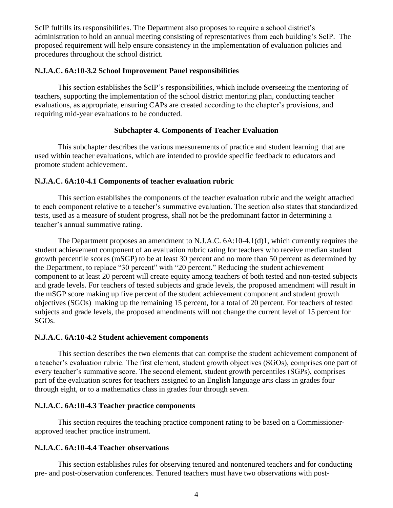ScIP fulfills its responsibilities. The Department also proposes to require a school district's administration to hold an annual meeting consisting of representatives from each building's ScIP. The proposed requirement will help ensure consistency in the implementation of evaluation policies and procedures throughout the school district.

## **N.J.A.C. 6A:10-3.2 School Improvement Panel responsibilities**

This section establishes the ScIP's responsibilities, which include overseeing the mentoring of teachers, supporting the implementation of the school district mentoring plan, conducting teacher evaluations, as appropriate, ensuring CAPs are created according to the chapter's provisions, and requiring mid-year evaluations to be conducted.

## **Subchapter 4. Components of Teacher Evaluation**

This subchapter describes the various measurements of practice and student learning that are used within teacher evaluations, which are intended to provide specific feedback to educators and promote student achievement.

## **N.J.A.C. 6A:10-4.1 Components of teacher evaluation rubric**

This section establishes the components of the teacher evaluation rubric and the weight attached to each component relative to a teacher's summative evaluation. The section also states that standardized tests, used as a measure of student progress, shall not be the predominant factor in determining a teacher's annual summative rating.

The Department proposes an amendment to N.J.A.C. 6A:10-4.1(d)1, which currently requires the student achievement component of an evaluation rubric rating for teachers who receive median student growth percentile scores (mSGP) to be at least 30 percent and no more than 50 percent as determined by the Department, to replace "30 percent" with "20 percent." Reducing the student achievement component to at least 20 percent will create equity among teachers of both tested and non-tested subjects and grade levels. For teachers of tested subjects and grade levels, the proposed amendment will result in the mSGP score making up five percent of the student achievement component and student growth objectives (SGOs) making up the remaining 15 percent, for a total of 20 percent. For teachers of tested subjects and grade levels, the proposed amendments will not change the current level of 15 percent for SGOs.

### **N.J.A.C. 6A:10-4.2 Student achievement components**

This section describes the two elements that can comprise the student achievement component of a teacher's evaluation rubric. The first element, student growth objectives (SGOs), comprises one part of every teacher's summative score. The second element, student growth percentiles (SGPs), comprises part of the evaluation scores for teachers assigned to an English language arts class in grades four through eight, or to a mathematics class in grades four through seven.

## **N.J.A.C. 6A:10-4.3 Teacher practice components**

This section requires the teaching practice component rating to be based on a Commissionerapproved teacher practice instrument.

## **N.J.A.C. 6A:10-4.4 Teacher observations**

This section establishes rules for observing tenured and nontenured teachers and for conducting pre- and post-observation conferences. Tenured teachers must have two observations with post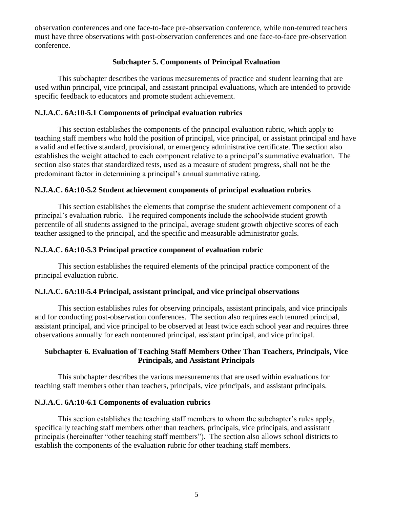observation conferences and one face-to-face pre-observation conference, while non-tenured teachers must have three observations with post-observation conferences and one face-to-face pre-observation conference.

## **Subchapter 5. Components of Principal Evaluation**

This subchapter describes the various measurements of practice and student learning that are used within principal, vice principal, and assistant principal evaluations, which are intended to provide specific feedback to educators and promote student achievement.

## **N.J.A.C. 6A:10-5.1 Components of principal evaluation rubrics**

This section establishes the components of the principal evaluation rubric, which apply to teaching staff members who hold the position of principal, vice principal, or assistant principal and have a valid and effective standard, provisional, or emergency administrative certificate. The section also establishes the weight attached to each component relative to a principal's summative evaluation. The section also states that standardized tests, used as a measure of student progress, shall not be the predominant factor in determining a principal's annual summative rating.

## **N.J.A.C. 6A:10-5.2 Student achievement components of principal evaluation rubrics**

This section establishes the elements that comprise the student achievement component of a principal's evaluation rubric. The required components include the schoolwide student growth percentile of all students assigned to the principal, average student growth objective scores of each teacher assigned to the principal, and the specific and measurable administrator goals.

## **N.J.A.C. 6A:10-5.3 Principal practice component of evaluation rubric**

This section establishes the required elements of the principal practice component of the principal evaluation rubric.

### **N.J.A.C. 6A:10-5.4 Principal, assistant principal, and vice principal observations**

This section establishes rules for observing principals, assistant principals, and vice principals and for conducting post-observation conferences. The section also requires each tenured principal, assistant principal, and vice principal to be observed at least twice each school year and requires three observations annually for each nontenured principal, assistant principal, and vice principal.

## **Subchapter 6. Evaluation of Teaching Staff Members Other Than Teachers, Principals, Vice Principals, and Assistant Principals**

This subchapter describes the various measurements that are used within evaluations for teaching staff members other than teachers, principals, vice principals, and assistant principals.

### **N.J.A.C. 6A:10-6.1 Components of evaluation rubrics**

This section establishes the teaching staff members to whom the subchapter's rules apply, specifically teaching staff members other than teachers, principals, vice principals, and assistant principals (hereinafter "other teaching staff members"). The section also allows school districts to establish the components of the evaluation rubric for other teaching staff members.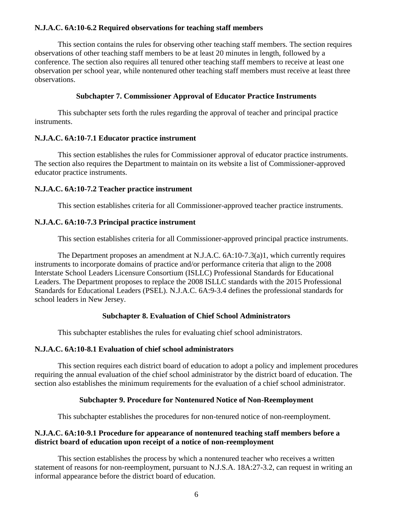## **N.J.A.C. 6A:10-6.2 Required observations for teaching staff members**

This section contains the rules for observing other teaching staff members. The section requires observations of other teaching staff members to be at least 20 minutes in length, followed by a conference. The section also requires all tenured other teaching staff members to receive at least one observation per school year, while nontenured other teaching staff members must receive at least three observations.

### **Subchapter 7. Commissioner Approval of Educator Practice Instruments**

This subchapter sets forth the rules regarding the approval of teacher and principal practice instruments.

### **N.J.A.C. 6A:10-7.1 Educator practice instrument**

This section establishes the rules for Commissioner approval of educator practice instruments. The section also requires the Department to maintain on its website a list of Commissioner-approved educator practice instruments.

## **N.J.A.C. 6A:10-7.2 Teacher practice instrument**

This section establishes criteria for all Commissioner-approved teacher practice instruments.

## **N.J.A.C. 6A:10-7.3 Principal practice instrument**

This section establishes criteria for all Commissioner-approved principal practice instruments.

The Department proposes an amendment at N.J.A.C. 6A:10-7.3(a)1, which currently requires instruments to incorporate domains of practice and/or performance criteria that align to the 2008 Interstate School Leaders Licensure Consortium (ISLLC) Professional Standards for Educational Leaders. The Department proposes to replace the 2008 ISLLC standards with the 2015 Professional Standards for Educational Leaders (PSEL). N.J.A.C. 6A:9-3.4 defines the professional standards for school leaders in New Jersey.

## **Subchapter 8. Evaluation of Chief School Administrators**

This subchapter establishes the rules for evaluating chief school administrators.

## **N.J.A.C. 6A:10-8.1 Evaluation of chief school administrators**

This section requires each district board of education to adopt a policy and implement procedures requiring the annual evaluation of the chief school administrator by the district board of education. The section also establishes the minimum requirements for the evaluation of a chief school administrator.

## **Subchapter 9. Procedure for Nontenured Notice of Non-Reemployment**

This subchapter establishes the procedures for non-tenured notice of non-reemployment.

## **N.J.A.C. 6A:10-9.1 Procedure for appearance of nontenured teaching staff members before a district board of education upon receipt of a notice of non-reemployment**

This section establishes the process by which a nontenured teacher who receives a written statement of reasons for non-reemployment, pursuant to N.J.S.A. 18A:27-3.2, can request in writing an informal appearance before the district board of education.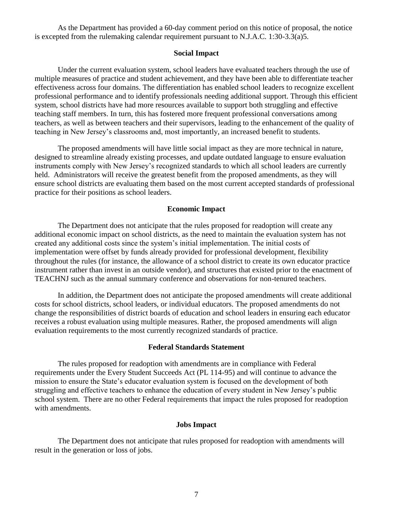As the Department has provided a 60-day comment period on this notice of proposal, the notice is excepted from the rulemaking calendar requirement pursuant to N.J.A.C. 1:30-3.3(a)5.

#### **Social Impact**

Under the current evaluation system, school leaders have evaluated teachers through the use of multiple measures of practice and student achievement, and they have been able to differentiate teacher effectiveness across four domains. The differentiation has enabled school leaders to recognize excellent professional performance and to identify professionals needing additional support. Through this efficient system, school districts have had more resources available to support both struggling and effective teaching staff members. In turn, this has fostered more frequent professional conversations among teachers, as well as between teachers and their supervisors, leading to the enhancement of the quality of teaching in New Jersey's classrooms and, most importantly, an increased benefit to students.

The proposed amendments will have little social impact as they are more technical in nature, designed to streamline already existing processes, and update outdated language to ensure evaluation instruments comply with New Jersey's recognized standards to which all school leaders are currently held. Administrators will receive the greatest benefit from the proposed amendments, as they will ensure school districts are evaluating them based on the most current accepted standards of professional practice for their positions as school leaders.

#### **Economic Impact**

The Department does not anticipate that the rules proposed for readoption will create any additional economic impact on school districts, as the need to maintain the evaluation system has not created any additional costs since the system's initial implementation. The initial costs of implementation were offset by funds already provided for professional development, flexibility throughout the rules (for instance, the allowance of a school district to create its own educator practice instrument rather than invest in an outside vendor), and structures that existed prior to the enactment of TEACHNJ such as the annual summary conference and observations for non-tenured teachers.

In addition, the Department does not anticipate the proposed amendments will create additional costs for school districts, school leaders, or individual educators. The proposed amendments do not change the responsibilities of district boards of education and school leaders in ensuring each educator receives a robust evaluation using multiple measures. Rather, the proposed amendments will align evaluation requirements to the most currently recognized standards of practice.

#### **Federal Standards Statement**

The rules proposed for readoption with amendments are in compliance with Federal requirements under the Every Student Succeeds Act (PL 114-95) and will continue to advance the mission to ensure the State's educator evaluation system is focused on the development of both struggling and effective teachers to enhance the education of every student in New Jersey's public school system. There are no other Federal requirements that impact the rules proposed for readoption with amendments.

### **Jobs Impact**

The Department does not anticipate that rules proposed for readoption with amendments will result in the generation or loss of jobs.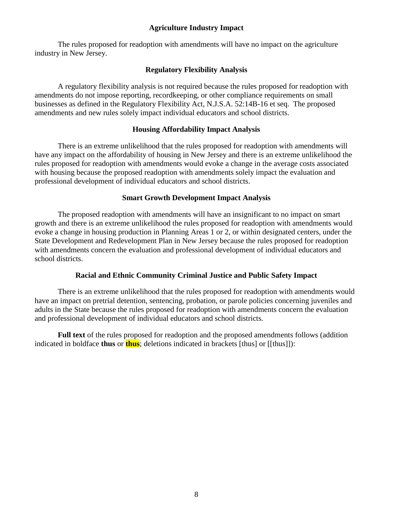## **Agriculture Industry Impact**

The rules proposed for readoption with amendments will have no impact on the agriculture industry in New Jersey.

## **Regulatory Flexibility Analysis**

A regulatory flexibility analysis is not required because the rules proposed for readoption with amendments do not impose reporting, recordkeeping, or other compliance requirements on small businesses as defined in the Regulatory Flexibility Act, N.J.S.A. 52:14B-16 et seq. The proposed amendments and new rules solely impact individual educators and school districts.

## **Housing Affordability Impact Analysis**

There is an extreme unlikelihood that the rules proposed for readoption with amendments will have any impact on the affordability of housing in New Jersey and there is an extreme unlikelihood the rules proposed for readoption with amendments would evoke a change in the average costs associated with housing because the proposed readoption with amendments solely impact the evaluation and professional development of individual educators and school districts.

## **Smart Growth Development Impact Analysis**

The proposed readoption with amendments will have an insignificant to no impact on smart growth and there is an extreme unlikelihood the rules proposed for readoption with amendments would evoke a change in housing production in Planning Areas 1 or 2, or within designated centers, under the State Development and Redevelopment Plan in New Jersey because the rules proposed for readoption with amendments concern the evaluation and professional development of individual educators and school districts.

## **Racial and Ethnic Community Criminal Justice and Public Safety Impact**

There is an extreme unlikelihood that the rules proposed for readoption with amendments would have an impact on pretrial detention, sentencing, probation, or parole policies concerning juveniles and adults in the State because the rules proposed for readoption with amendments concern the evaluation and professional development of individual educators and school districts.

**Full text** of the rules proposed for readoption and the proposed amendments follows (addition indicated in boldface **thus** or **thus**; deletions indicated in brackets [thus] or [[thus]]):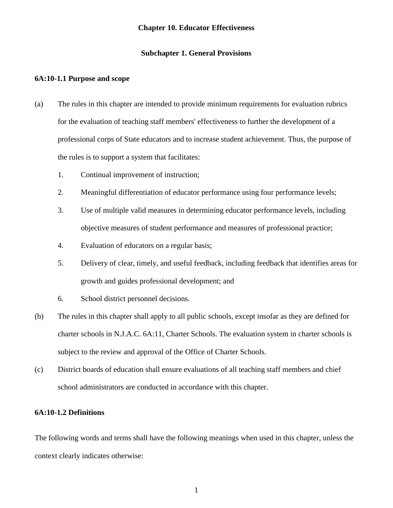#### **Chapter 10. Educator Effectiveness**

#### **Subchapter 1. General Provisions**

#### <span id="page-15-0"></span>**6A:10-1.1 Purpose and scope**

- (a) The rules in this chapter are intended to provide minimum requirements for evaluation rubrics for the evaluation of teaching staff members' effectiveness to further the development of a professional corps of State educators and to increase student achievement. Thus, the purpose of the rules is to support a system that facilitates:
	- 1. Continual improvement of instruction;
	- 2. Meaningful differentiation of educator performance using four performance levels;
	- 3. Use of multiple valid measures in determining educator performance levels, including objective measures of student performance and measures of professional practice;
	- 4. Evaluation of educators on a regular basis;
	- 5. Delivery of clear, timely, and useful feedback, including feedback that identifies areas for growth and guides professional development; and
	- 6. School district personnel decisions.
- (b) The rules in this chapter shall apply to all public schools, except insofar as they are defined for charter schools in N.J.A.C. 6A:11, Charter Schools. The evaluation system in charter schools is subject to the review and approval of the Office of Charter Schools.
- (c) District boards of education shall ensure evaluations of all teaching staff members and chief school administrators are conducted in accordance with this chapter.

#### **6A:10-1.2 Definitions**

The following words and terms shall have the following meanings when used in this chapter, unless the context clearly indicates otherwise: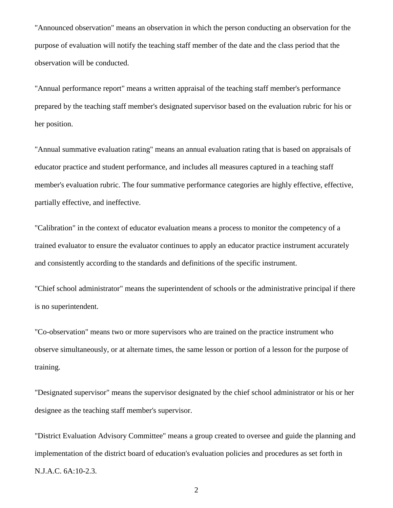"Announced observation" means an observation in which the person conducting an observation for the purpose of evaluation will notify the teaching staff member of the date and the class period that the observation will be conducted.

"Annual performance report" means a written appraisal of the teaching staff member's performance prepared by the teaching staff member's designated supervisor based on the evaluation rubric for his or her position.

"Annual summative evaluation rating" means an annual evaluation rating that is based on appraisals of educator practice and student performance, and includes all measures captured in a teaching staff member's evaluation rubric. The four summative performance categories are highly effective, effective, partially effective, and ineffective.

"Calibration" in the context of educator evaluation means a process to monitor the competency of a trained evaluator to ensure the evaluator continues to apply an educator practice instrument accurately and consistently according to the standards and definitions of the specific instrument.

"Chief school administrator" means the superintendent of schools or the administrative principal if there is no superintendent.

"Co-observation" means two or more supervisors who are trained on the practice instrument who observe simultaneously, or at alternate times, the same lesson or portion of a lesson for the purpose of training.

"Designated supervisor" means the supervisor designated by the chief school administrator or his or her designee as the teaching staff member's supervisor.

"District Evaluation Advisory Committee" means a group created to oversee and guide the planning and implementation of the district board of education's evaluation policies and procedures as set forth in N.J.A.C. 6A:10-2.3.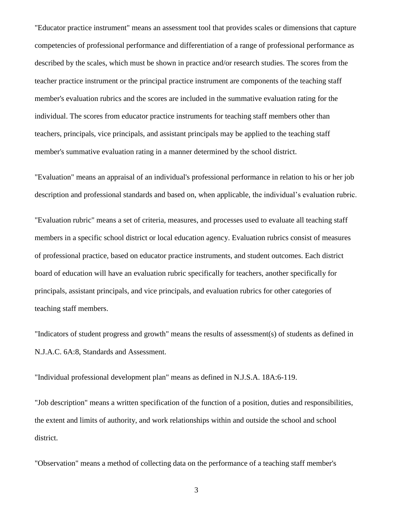"Educator practice instrument" means an assessment tool that provides scales or dimensions that capture competencies of professional performance and differentiation of a range of professional performance as described by the scales, which must be shown in practice and/or research studies. The scores from the teacher practice instrument or the principal practice instrument are components of the teaching staff member's evaluation rubrics and the scores are included in the summative evaluation rating for the individual. The scores from educator practice instruments for teaching staff members other than teachers, principals, vice principals, and assistant principals may be applied to the teaching staff member's summative evaluation rating in a manner determined by the school district.

"Evaluation" means an appraisal of an individual's professional performance in relation to his or her job description and professional standards and based on, when applicable, the individual's evaluation rubric.

"Evaluation rubric" means a set of criteria, measures, and processes used to evaluate all teaching staff members in a specific school district or local education agency. Evaluation rubrics consist of measures of professional practice, based on educator practice instruments, and student outcomes. Each district board of education will have an evaluation rubric specifically for teachers, another specifically for principals, assistant principals, and vice principals, and evaluation rubrics for other categories of teaching staff members.

"Indicators of student progress and growth" means the results of assessment(s) of students as defined in N.J.A.C. 6A:8, Standards and Assessment.

"Individual professional development plan" means as defined in N.J.S.A. 18A:6-119.

"Job description" means a written specification of the function of a position, duties and responsibilities, the extent and limits of authority, and work relationships within and outside the school and school district.

"Observation" means a method of collecting data on the performance of a teaching staff member's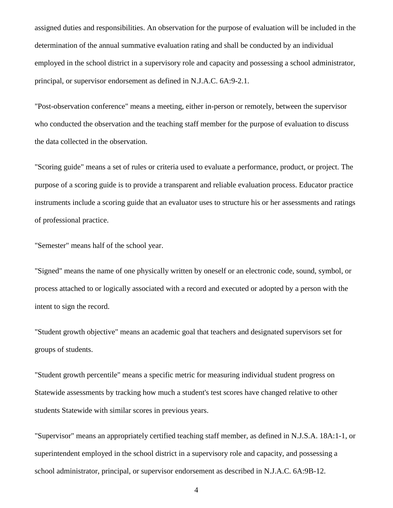assigned duties and responsibilities. An observation for the purpose of evaluation will be included in the determination of the annual summative evaluation rating and shall be conducted by an individual employed in the school district in a supervisory role and capacity and possessing a school administrator, principal, or supervisor endorsement as defined in N.J.A.C. 6A:9-2.1.

"Post-observation conference" means a meeting, either in-person or remotely, between the supervisor who conducted the observation and the teaching staff member for the purpose of evaluation to discuss the data collected in the observation.

"Scoring guide" means a set of rules or criteria used to evaluate a performance, product, or project. The purpose of a scoring guide is to provide a transparent and reliable evaluation process. Educator practice instruments include a scoring guide that an evaluator uses to structure his or her assessments and ratings of professional practice.

"Semester" means half of the school year.

"Signed" means the name of one physically written by oneself or an electronic code, sound, symbol, or process attached to or logically associated with a record and executed or adopted by a person with the intent to sign the record.

"Student growth objective" means an academic goal that teachers and designated supervisors set for groups of students.

"Student growth percentile" means a specific metric for measuring individual student progress on Statewide assessments by tracking how much a student's test scores have changed relative to other students Statewide with similar scores in previous years.

"Supervisor" means an appropriately certified teaching staff member, as defined in N.J.S.A. 18A:1-1, or superintendent employed in the school district in a supervisory role and capacity, and possessing a school administrator, principal, or supervisor endorsement as described in N.J.A.C. 6A:9B-12.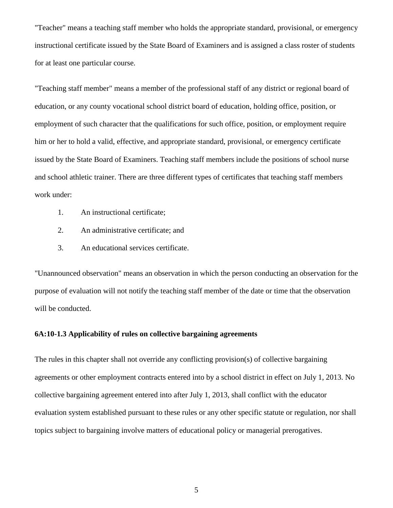"Teacher" means a teaching staff member who holds the appropriate standard, provisional, or emergency instructional certificate issued by the State Board of Examiners and is assigned a class roster of students for at least one particular course.

"Teaching staff member" means a member of the professional staff of any district or regional board of education, or any county vocational school district board of education, holding office, position, or employment of such character that the qualifications for such office, position, or employment require him or her to hold a valid, effective, and appropriate standard, provisional, or emergency certificate issued by the State Board of Examiners. Teaching staff members include the positions of school nurse and school athletic trainer. There are three different types of certificates that teaching staff members work under:

- 1. An instructional certificate;
- 2. An administrative certificate; and
- 3. An educational services certificate.

"Unannounced observation" means an observation in which the person conducting an observation for the purpose of evaluation will not notify the teaching staff member of the date or time that the observation will be conducted.

## **6A:10-1.3 Applicability of rules on collective bargaining agreements**

The rules in this chapter shall not override any conflicting provision(s) of collective bargaining agreements or other employment contracts entered into by a school district in effect on July 1, 2013. No collective bargaining agreement entered into after July 1, 2013, shall conflict with the educator evaluation system established pursuant to these rules or any other specific statute or regulation, nor shall topics subject to bargaining involve matters of educational policy or managerial prerogatives.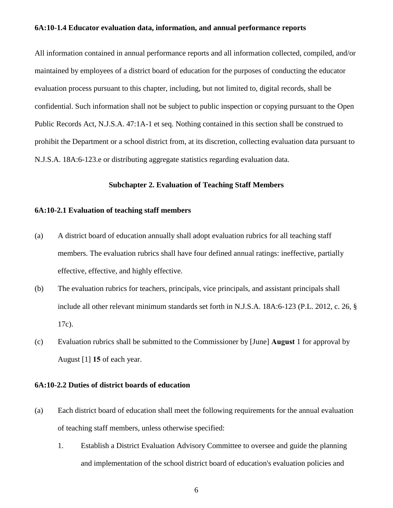#### **6A:10-1.4 Educator evaluation data, information, and annual performance reports**

All information contained in annual performance reports and all information collected, compiled, and/or maintained by employees of a district board of education for the purposes of conducting the educator evaluation process pursuant to this chapter, including, but not limited to, digital records, shall be confidential. Such information shall not be subject to public inspection or copying pursuant to the Open Public Records Act, N.J.S.A. 47:1A-1 et seq. Nothing contained in this section shall be construed to prohibit the Department or a school district from, at its discretion, collecting evaluation data pursuant to N.J.S.A. 18A:6-123.e or distributing aggregate statistics regarding evaluation data.

#### **Subchapter 2. Evaluation of Teaching Staff Members**

#### **6A:10-2.1 Evaluation of teaching staff members**

- (a) A district board of education annually shall adopt evaluation rubrics for all teaching staff members. The evaluation rubrics shall have four defined annual ratings: ineffective, partially effective, effective, and highly effective.
- (b) The evaluation rubrics for teachers, principals, vice principals, and assistant principals shall include all other relevant minimum standards set forth in N.J.S.A. 18A:6-123 (P.L. 2012, c. 26, § 17c).
- (c) Evaluation rubrics shall be submitted to the Commissioner by [June] **August** 1 for approval by August [1] **15** of each year.

### **6A:10-2.2 Duties of district boards of education**

- (a) Each district board of education shall meet the following requirements for the annual evaluation of teaching staff members, unless otherwise specified:
	- 1. Establish a District Evaluation Advisory Committee to oversee and guide the planning and implementation of the school district board of education's evaluation policies and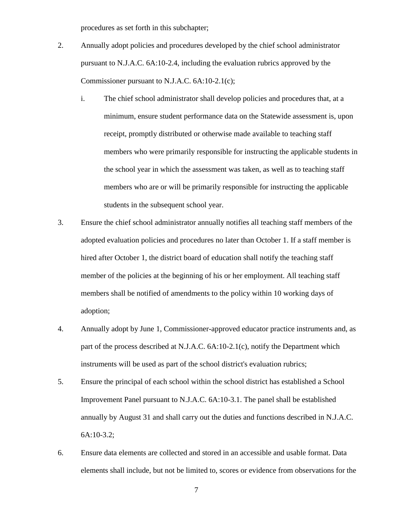procedures as set forth in this subchapter;

- 2. Annually adopt policies and procedures developed by the chief school administrator pursuant to N.J.A.C. 6A:10-2.4, including the evaluation rubrics approved by the Commissioner pursuant to N.J.A.C. 6A:10-2.1(c);
	- i. The chief school administrator shall develop policies and procedures that, at a minimum, ensure student performance data on the Statewide assessment is, upon receipt, promptly distributed or otherwise made available to teaching staff members who were primarily responsible for instructing the applicable students in the school year in which the assessment was taken, as well as to teaching staff members who are or will be primarily responsible for instructing the applicable students in the subsequent school year.
- 3. Ensure the chief school administrator annually notifies all teaching staff members of the adopted evaluation policies and procedures no later than October 1. If a staff member is hired after October 1, the district board of education shall notify the teaching staff member of the policies at the beginning of his or her employment. All teaching staff members shall be notified of amendments to the policy within 10 working days of adoption;
- 4. Annually adopt by June 1, Commissioner-approved educator practice instruments and, as part of the process described at N.J.A.C. 6A:10-2.1(c), notify the Department which instruments will be used as part of the school district's evaluation rubrics;
- 5. Ensure the principal of each school within the school district has established a School Improvement Panel pursuant to N.J.A.C. 6A:10-3.1. The panel shall be established annually by August 31 and shall carry out the duties and functions described in N.J.A.C. 6A:10-3.2;
- 6. Ensure data elements are collected and stored in an accessible and usable format. Data elements shall include, but not be limited to, scores or evidence from observations for the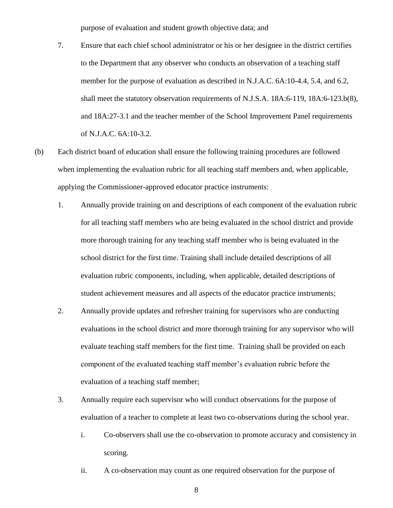purpose of evaluation and student growth objective data; and

- 7. Ensure that each chief school administrator or his or her designee in the district certifies to the Department that any observer who conducts an observation of a teaching staff member for the purpose of evaluation as described in N.J.A.C. 6A:10-4.4, 5.4, and 6.2, shall meet the statutory observation requirements of N.J.S.A. 18A:6-119, 18A:6-123.b(8), and 18A:27-3.1 and the teacher member of the School Improvement Panel requirements of N.J.A.C. 6A:10-3.2.
- (b) Each district board of education shall ensure the following training procedures are followed when implementing the evaluation rubric for all teaching staff members and, when applicable, applying the Commissioner-approved educator practice instruments:
	- 1. Annually provide training on and descriptions of each component of the evaluation rubric for all teaching staff members who are being evaluated in the school district and provide more thorough training for any teaching staff member who is being evaluated in the school district for the first time. Training shall include detailed descriptions of all evaluation rubric components, including, when applicable, detailed descriptions of student achievement measures and all aspects of the educator practice instruments;
	- 2. Annually provide updates and refresher training for supervisors who are conducting evaluations in the school district and more thorough training for any supervisor who will evaluate teaching staff members for the first time. Training shall be provided on each component of the evaluated teaching staff member's evaluation rubric before the evaluation of a teaching staff member;
	- 3. Annually require each supervisor who will conduct observations for the purpose of evaluation of a teacher to complete at least two co-observations during the school year.
		- i. Co-observers shall use the co-observation to promote accuracy and consistency in scoring.
		- ii. A co-observation may count as one required observation for the purpose of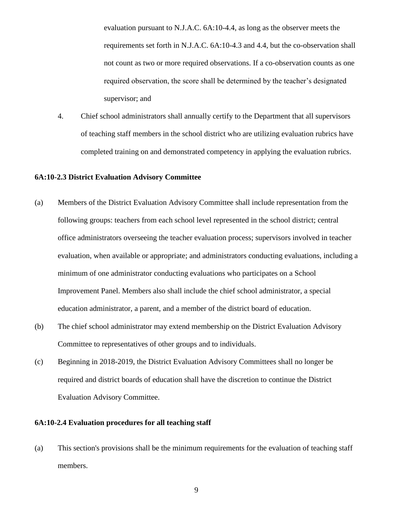evaluation pursuant to N.J.A.C. 6A:10-4.4, as long as the observer meets the requirements set forth in N.J.A.C. 6A:10-4.3 and 4.4, but the co-observation shall not count as two or more required observations. If a co-observation counts as one required observation, the score shall be determined by the teacher's designated supervisor; and

4. Chief school administrators shall annually certify to the Department that all supervisors of teaching staff members in the school district who are utilizing evaluation rubrics have completed training on and demonstrated competency in applying the evaluation rubrics.

### **6A:10-2.3 District Evaluation Advisory Committee**

- (a) Members of the District Evaluation Advisory Committee shall include representation from the following groups: teachers from each school level represented in the school district; central office administrators overseeing the teacher evaluation process; supervisors involved in teacher evaluation, when available or appropriate; and administrators conducting evaluations, including a minimum of one administrator conducting evaluations who participates on a School Improvement Panel. Members also shall include the chief school administrator, a special education administrator, a parent, and a member of the district board of education.
- (b) The chief school administrator may extend membership on the District Evaluation Advisory Committee to representatives of other groups and to individuals.
- (c) Beginning in 2018-2019, the District Evaluation Advisory Committees shall no longer be required and district boards of education shall have the discretion to continue the District Evaluation Advisory Committee.

#### **6A:10-2.4 Evaluation procedures for all teaching staff**

(a) This section's provisions shall be the minimum requirements for the evaluation of teaching staff members.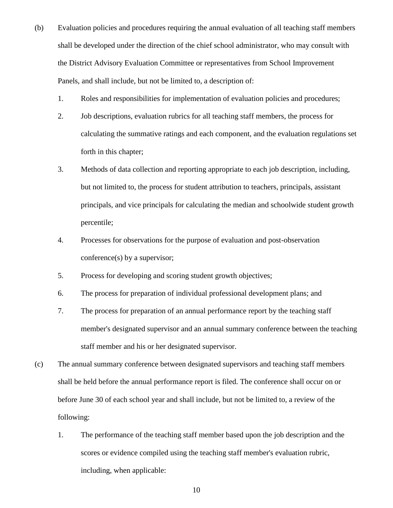- (b) Evaluation policies and procedures requiring the annual evaluation of all teaching staff members shall be developed under the direction of the chief school administrator, who may consult with the District Advisory Evaluation Committee or representatives from School Improvement Panels, and shall include, but not be limited to, a description of:
	- 1. Roles and responsibilities for implementation of evaluation policies and procedures;
	- 2. Job descriptions, evaluation rubrics for all teaching staff members, the process for calculating the summative ratings and each component, and the evaluation regulations set forth in this chapter;
	- 3. Methods of data collection and reporting appropriate to each job description, including, but not limited to, the process for student attribution to teachers, principals, assistant principals, and vice principals for calculating the median and schoolwide student growth percentile;
	- 4. Processes for observations for the purpose of evaluation and post-observation conference(s) by a supervisor;
	- 5. Process for developing and scoring student growth objectives;
	- 6. The process for preparation of individual professional development plans; and
	- 7. The process for preparation of an annual performance report by the teaching staff member's designated supervisor and an annual summary conference between the teaching staff member and his or her designated supervisor.
- (c) The annual summary conference between designated supervisors and teaching staff members shall be held before the annual performance report is filed. The conference shall occur on or before June 30 of each school year and shall include, but not be limited to, a review of the following:
	- 1. The performance of the teaching staff member based upon the job description and the scores or evidence compiled using the teaching staff member's evaluation rubric, including, when applicable: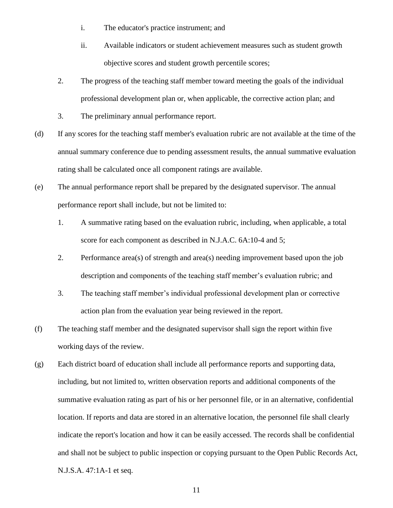- i. The educator's practice instrument; and
- ii. Available indicators or student achievement measures such as student growth objective scores and student growth percentile scores;
- 2. The progress of the teaching staff member toward meeting the goals of the individual professional development plan or, when applicable, the corrective action plan; and
- 3. The preliminary annual performance report.
- (d) If any scores for the teaching staff member's evaluation rubric are not available at the time of the annual summary conference due to pending assessment results, the annual summative evaluation rating shall be calculated once all component ratings are available.
- (e) The annual performance report shall be prepared by the designated supervisor. The annual performance report shall include, but not be limited to:
	- 1. A summative rating based on the evaluation rubric, including, when applicable, a total score for each component as described in N.J.A.C. 6A:10-4 and 5;
	- 2. Performance area(s) of strength and area(s) needing improvement based upon the job description and components of the teaching staff member's evaluation rubric; and
	- 3. The teaching staff member's individual professional development plan or corrective action plan from the evaluation year being reviewed in the report.
- (f) The teaching staff member and the designated supervisor shall sign the report within five working days of the review.
- (g) Each district board of education shall include all performance reports and supporting data, including, but not limited to, written observation reports and additional components of the summative evaluation rating as part of his or her personnel file, or in an alternative, confidential location. If reports and data are stored in an alternative location, the personnel file shall clearly indicate the report's location and how it can be easily accessed. The records shall be confidential and shall not be subject to public inspection or copying pursuant to the Open Public Records Act, N.J.S.A. 47:1A-1 et seq.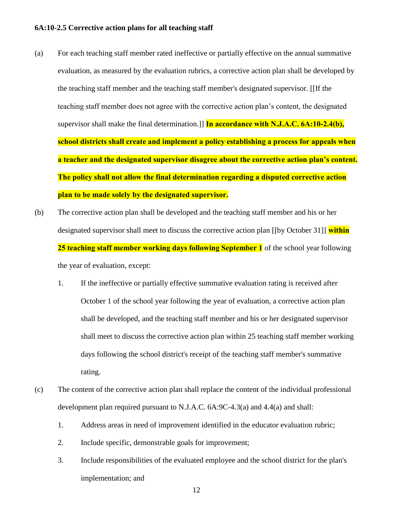#### **6A:10-2.5 Corrective action plans for all teaching staff**

- (a) For each teaching staff member rated ineffective or partially effective on the annual summative evaluation, as measured by the evaluation rubrics, a corrective action plan shall be developed by the teaching staff member and the teaching staff member's designated supervisor. [[If the teaching staff member does not agree with the corrective action plan's content, the designated supervisor shall make the final determination.]] **In accordance with N.J.A.C. 6A:10-2.4(b), school districts shall create and implement a policy establishing a process for appeals when a teacher and the designated supervisor disagree about the corrective action plan's content. The policy shall not allow the final determination regarding a disputed corrective action plan to be made solely by the designated supervisor.**
- (b) The corrective action plan shall be developed and the teaching staff member and his or her designated supervisor shall meet to discuss the corrective action plan [[by October 31]] **within 25 teaching staff member working days following September 1** of the school year following the year of evaluation, except:
	- 1. If the ineffective or partially effective summative evaluation rating is received after October 1 of the school year following the year of evaluation, a corrective action plan shall be developed, and the teaching staff member and his or her designated supervisor shall meet to discuss the corrective action plan within 25 teaching staff member working days following the school district's receipt of the teaching staff member's summative rating.
- (c) The content of the corrective action plan shall replace the content of the individual professional development plan required pursuant to N.J.A.C. 6A:9C-4.3(a) and 4.4(a) and shall:
	- 1. Address areas in need of improvement identified in the educator evaluation rubric;
	- 2. Include specific, demonstrable goals for improvement;
	- 3. Include responsibilities of the evaluated employee and the school district for the plan's implementation; and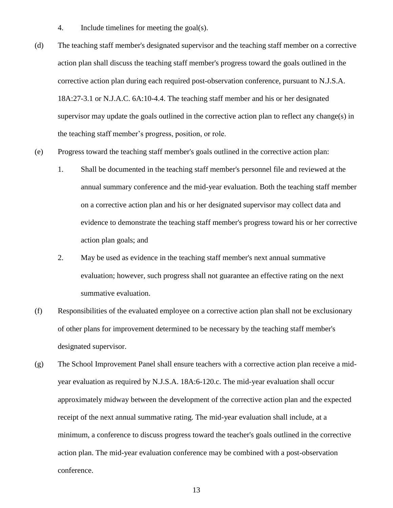- 4. Include timelines for meeting the goal(s).
- (d) The teaching staff member's designated supervisor and the teaching staff member on a corrective action plan shall discuss the teaching staff member's progress toward the goals outlined in the corrective action plan during each required post-observation conference, pursuant to N.J.S.A. 18A:27-3.1 or N.J.A.C. 6A:10-4.4. The teaching staff member and his or her designated supervisor may update the goals outlined in the corrective action plan to reflect any change(s) in the teaching staff member's progress, position, or role.
- (e) Progress toward the teaching staff member's goals outlined in the corrective action plan:
	- 1. Shall be documented in the teaching staff member's personnel file and reviewed at the annual summary conference and the mid-year evaluation. Both the teaching staff member on a corrective action plan and his or her designated supervisor may collect data and evidence to demonstrate the teaching staff member's progress toward his or her corrective action plan goals; and
	- 2. May be used as evidence in the teaching staff member's next annual summative evaluation; however, such progress shall not guarantee an effective rating on the next summative evaluation.
- (f) Responsibilities of the evaluated employee on a corrective action plan shall not be exclusionary of other plans for improvement determined to be necessary by the teaching staff member's designated supervisor.
- (g) The School Improvement Panel shall ensure teachers with a corrective action plan receive a midyear evaluation as required by N.J.S.A. 18A:6-120.c. The mid-year evaluation shall occur approximately midway between the development of the corrective action plan and the expected receipt of the next annual summative rating. The mid-year evaluation shall include, at a minimum, a conference to discuss progress toward the teacher's goals outlined in the corrective action plan. The mid-year evaluation conference may be combined with a post-observation conference.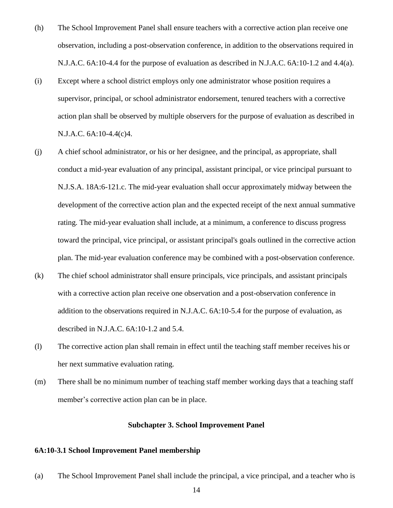- (h) The School Improvement Panel shall ensure teachers with a corrective action plan receive one observation, including a post-observation conference, in addition to the observations required in N.J.A.C. 6A:10-4.4 for the purpose of evaluation as described in N.J.A.C. 6A:10-1.2 and 4.4(a).
- (i) Except where a school district employs only one administrator whose position requires a supervisor, principal, or school administrator endorsement, tenured teachers with a corrective action plan shall be observed by multiple observers for the purpose of evaluation as described in N.J.A.C. 6A:10-4.4(c)4.
- (j) A chief school administrator, or his or her designee, and the principal, as appropriate, shall conduct a mid-year evaluation of any principal, assistant principal, or vice principal pursuant to N.J.S.A. 18A:6-121.c. The mid-year evaluation shall occur approximately midway between the development of the corrective action plan and the expected receipt of the next annual summative rating. The mid-year evaluation shall include, at a minimum, a conference to discuss progress toward the principal, vice principal, or assistant principal's goals outlined in the corrective action plan. The mid-year evaluation conference may be combined with a post-observation conference.
- (k) The chief school administrator shall ensure principals, vice principals, and assistant principals with a corrective action plan receive one observation and a post-observation conference in addition to the observations required in N.J.A.C. 6A:10-5.4 for the purpose of evaluation, as described in N.J.A.C. 6A:10-1.2 and 5.4.
- (l) The corrective action plan shall remain in effect until the teaching staff member receives his or her next summative evaluation rating.
- (m) There shall be no minimum number of teaching staff member working days that a teaching staff member's corrective action plan can be in place.

#### **Subchapter 3. School Improvement Panel**

#### **6A:10-3.1 School Improvement Panel membership**

(a) The School Improvement Panel shall include the principal, a vice principal, and a teacher who is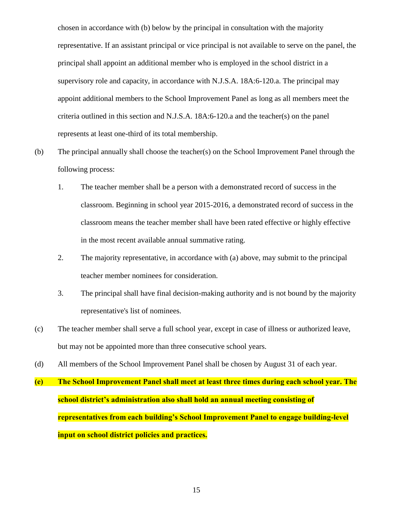chosen in accordance with (b) below by the principal in consultation with the majority representative. If an assistant principal or vice principal is not available to serve on the panel, the principal shall appoint an additional member who is employed in the school district in a supervisory role and capacity, in accordance with N.J.S.A. 18A:6-120.a. The principal may appoint additional members to the School Improvement Panel as long as all members meet the criteria outlined in this section and N.J.S.A. 18A:6-120.a and the teacher(s) on the panel represents at least one-third of its total membership.

- (b) The principal annually shall choose the teacher(s) on the School Improvement Panel through the following process:
	- 1. The teacher member shall be a person with a demonstrated record of success in the classroom. Beginning in school year 2015-2016, a demonstrated record of success in the classroom means the teacher member shall have been rated effective or highly effective in the most recent available annual summative rating.
	- 2. The majority representative, in accordance with (a) above, may submit to the principal teacher member nominees for consideration.
	- 3. The principal shall have final decision-making authority and is not bound by the majority representative's list of nominees.
- (c) The teacher member shall serve a full school year, except in case of illness or authorized leave, but may not be appointed more than three consecutive school years.
- (d) All members of the School Improvement Panel shall be chosen by August 31 of each year.
- **(e) The School Improvement Panel shall meet at least three times during each school year. The school district's administration also shall hold an annual meeting consisting of representatives from each building's School Improvement Panel to engage building-level input on school district policies and practices.**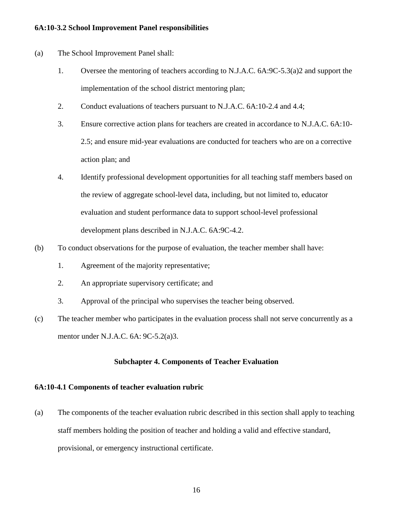#### **6A:10-3.2 School Improvement Panel responsibilities**

- (a) The School Improvement Panel shall:
	- 1. Oversee the mentoring of teachers according to N.J.A.C. 6A:9C-5.3(a)2 and support the implementation of the school district mentoring plan;
	- 2. Conduct evaluations of teachers pursuant to N.J.A.C. 6A:10-2.4 and 4.4;
	- 3. Ensure corrective action plans for teachers are created in accordance to N.J.A.C. 6A:10- 2.5; and ensure mid-year evaluations are conducted for teachers who are on a corrective action plan; and
	- 4. Identify professional development opportunities for all teaching staff members based on the review of aggregate school-level data, including, but not limited to, educator evaluation and student performance data to support school-level professional development plans described in N.J.A.C. 6A:9C-4.2.
- (b) To conduct observations for the purpose of evaluation, the teacher member shall have:
	- 1. Agreement of the majority representative;
	- 2. An appropriate supervisory certificate; and
	- 3. Approval of the principal who supervises the teacher being observed.
- (c) The teacher member who participates in the evaluation process shall not serve concurrently as a mentor under N.J.A.C. 6A: 9C-5.2(a)3.

## **Subchapter 4. Components of Teacher Evaluation**

#### **6A:10-4.1 Components of teacher evaluation rubric**

(a) The components of the teacher evaluation rubric described in this section shall apply to teaching staff members holding the position of teacher and holding a valid and effective standard, provisional, or emergency instructional certificate.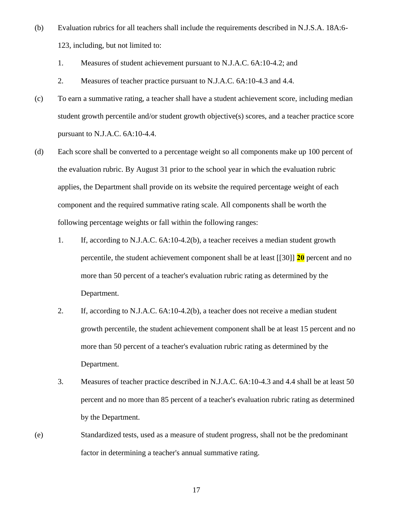- (b) Evaluation rubrics for all teachers shall include the requirements described in N.J.S.A. 18A:6- 123, including, but not limited to:
	- 1. Measures of student achievement pursuant to N.J.A.C. 6A:10-4.2; and
	- 2. Measures of teacher practice pursuant to N.J.A.C. 6A:10-4.3 and 4.4.
- (c) To earn a summative rating, a teacher shall have a student achievement score, including median student growth percentile and/or student growth objective(s) scores, and a teacher practice score pursuant to N.J.A.C. 6A:10-4.4.
- (d) Each score shall be converted to a percentage weight so all components make up 100 percent of the evaluation rubric. By August 31 prior to the school year in which the evaluation rubric applies, the Department shall provide on its website the required percentage weight of each component and the required summative rating scale. All components shall be worth the following percentage weights or fall within the following ranges:
	- 1. If, according to N.J.A.C. 6A:10-4.2(b), a teacher receives a median student growth percentile, the student achievement component shall be at least [[30]] **20** percent and no more than 50 percent of a teacher's evaluation rubric rating as determined by the Department.
	- 2. If, according to N.J.A.C. 6A:10-4.2(b), a teacher does not receive a median student growth percentile, the student achievement component shall be at least 15 percent and no more than 50 percent of a teacher's evaluation rubric rating as determined by the Department.
	- 3. Measures of teacher practice described in N.J.A.C. 6A:10-4.3 and 4.4 shall be at least 50 percent and no more than 85 percent of a teacher's evaluation rubric rating as determined by the Department.
- (e) Standardized tests, used as a measure of student progress, shall not be the predominant factor in determining a teacher's annual summative rating.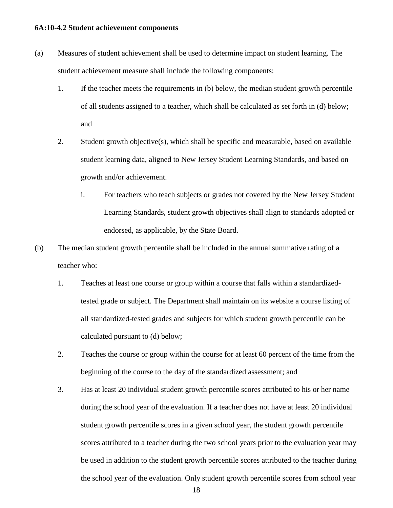#### **6A:10-4.2 Student achievement components**

- (a) Measures of student achievement shall be used to determine impact on student learning. The student achievement measure shall include the following components:
	- 1. If the teacher meets the requirements in (b) below, the median student growth percentile of all students assigned to a teacher, which shall be calculated as set forth in (d) below; and
	- 2. Student growth objective(s), which shall be specific and measurable, based on available student learning data, aligned to New Jersey Student Learning Standards, and based on growth and/or achievement.
		- i. For teachers who teach subjects or grades not covered by the New Jersey Student Learning Standards, student growth objectives shall align to standards adopted or endorsed, as applicable, by the State Board.
- (b) The median student growth percentile shall be included in the annual summative rating of a teacher who:
	- 1. Teaches at least one course or group within a course that falls within a standardizedtested grade or subject. The Department shall maintain on its website a course listing of all standardized-tested grades and subjects for which student growth percentile can be calculated pursuant to (d) below;
	- 2. Teaches the course or group within the course for at least 60 percent of the time from the beginning of the course to the day of the standardized assessment; and
	- 3. Has at least 20 individual student growth percentile scores attributed to his or her name during the school year of the evaluation. If a teacher does not have at least 20 individual student growth percentile scores in a given school year, the student growth percentile scores attributed to a teacher during the two school years prior to the evaluation year may be used in addition to the student growth percentile scores attributed to the teacher during the school year of the evaluation. Only student growth percentile scores from school year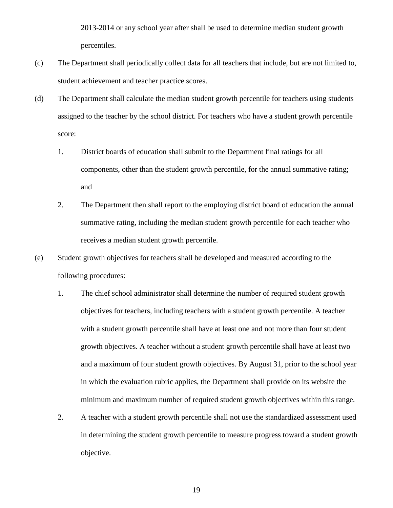2013-2014 or any school year after shall be used to determine median student growth percentiles.

- (c) The Department shall periodically collect data for all teachers that include, but are not limited to, student achievement and teacher practice scores.
- (d) The Department shall calculate the median student growth percentile for teachers using students assigned to the teacher by the school district. For teachers who have a student growth percentile score:
	- 1. District boards of education shall submit to the Department final ratings for all components, other than the student growth percentile, for the annual summative rating; and
	- 2. The Department then shall report to the employing district board of education the annual summative rating, including the median student growth percentile for each teacher who receives a median student growth percentile.
- (e) Student growth objectives for teachers shall be developed and measured according to the following procedures:
	- 1. The chief school administrator shall determine the number of required student growth objectives for teachers, including teachers with a student growth percentile. A teacher with a student growth percentile shall have at least one and not more than four student growth objectives. A teacher without a student growth percentile shall have at least two and a maximum of four student growth objectives. By August 31, prior to the school year in which the evaluation rubric applies, the Department shall provide on its website the minimum and maximum number of required student growth objectives within this range.
	- 2. A teacher with a student growth percentile shall not use the standardized assessment used in determining the student growth percentile to measure progress toward a student growth objective.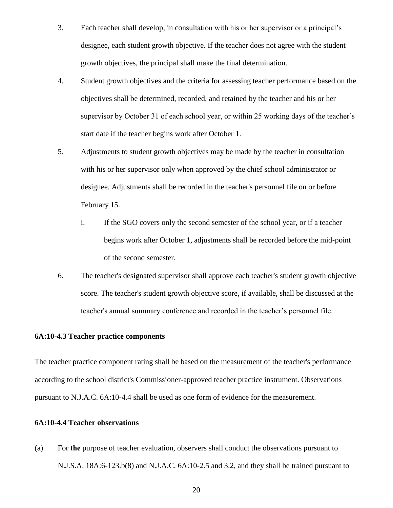- 3. Each teacher shall develop, in consultation with his or her supervisor or a principal's designee, each student growth objective. If the teacher does not agree with the student growth objectives, the principal shall make the final determination.
- 4. Student growth objectives and the criteria for assessing teacher performance based on the objectives shall be determined, recorded, and retained by the teacher and his or her supervisor by October 31 of each school year, or within 25 working days of the teacher's start date if the teacher begins work after October 1.
- 5. Adjustments to student growth objectives may be made by the teacher in consultation with his or her supervisor only when approved by the chief school administrator or designee. Adjustments shall be recorded in the teacher's personnel file on or before February 15.
	- i. If the SGO covers only the second semester of the school year, or if a teacher begins work after October 1, adjustments shall be recorded before the mid-point of the second semester.
- 6. The teacher's designated supervisor shall approve each teacher's student growth objective score. The teacher's student growth objective score, if available, shall be discussed at the teacher's annual summary conference and recorded in the teacher's personnel file.

## **6A:10-4.3 Teacher practice components**

The teacher practice component rating shall be based on the measurement of the teacher's performance according to the school district's Commissioner-approved teacher practice instrument. Observations pursuant to N.J.A.C. 6A:10-4.4 shall be used as one form of evidence for the measurement.

#### **6A:10-4.4 Teacher observations**

(a) For **the** purpose of teacher evaluation, observers shall conduct the observations pursuant to N.J.S.A. 18A:6-123.b(8) and N.J.A.C. 6A:10-2.5 and 3.2, and they shall be trained pursuant to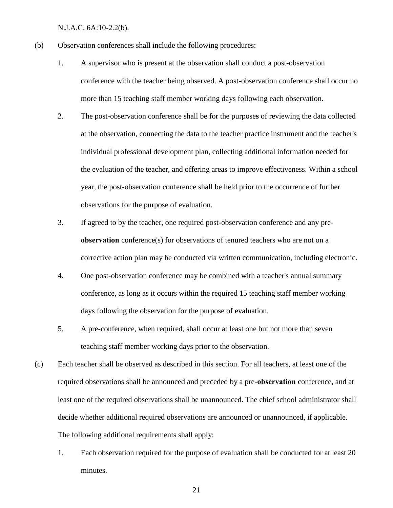N.J.A.C. 6A:10-2.2(b).

- (b) Observation conferences shall include the following procedures:
	- 1. A supervisor who is present at the observation shall conduct a post-observation conference with the teacher being observed. A post-observation conference shall occur no more than 15 teaching staff member working days following each observation.
	- 2. The post-observation conference shall be for the purpose**s** of reviewing the data collected at the observation, connecting the data to the teacher practice instrument and the teacher's individual professional development plan, collecting additional information needed for the evaluation of the teacher, and offering areas to improve effectiveness. Within a school year, the post-observation conference shall be held prior to the occurrence of further observations for the purpose of evaluation.
	- 3. If agreed to by the teacher, one required post-observation conference and any pre**observation** conference(s) for observations of tenured teachers who are not on a corrective action plan may be conducted via written communication, including electronic.
	- 4. One post-observation conference may be combined with a teacher's annual summary conference, as long as it occurs within the required 15 teaching staff member working days following the observation for the purpose of evaluation.
	- 5. A pre-conference, when required, shall occur at least one but not more than seven teaching staff member working days prior to the observation.
- (c) Each teacher shall be observed as described in this section. For all teachers, at least one of the required observations shall be announced and preceded by a pre-**observation** conference, and at least one of the required observations shall be unannounced. The chief school administrator shall decide whether additional required observations are announced or unannounced, if applicable. The following additional requirements shall apply:
	- 1. Each observation required for the purpose of evaluation shall be conducted for at least 20 minutes.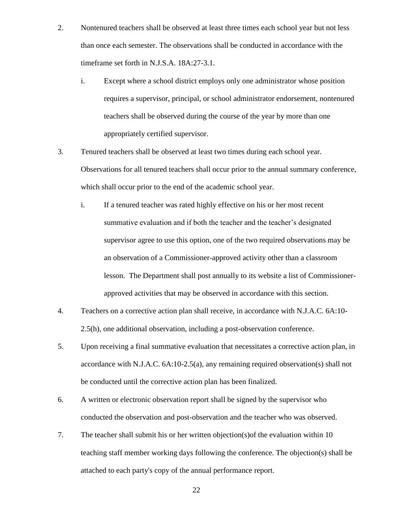- 2. Nontenured teachers shall be observed at least three times each school year but not less than once each semester. The observations shall be conducted in accordance with the timeframe set forth in N.J.S.A. 18A:27-3.1.
	- i. Except where a school district employs only one administrator whose position requires a supervisor, principal, or school administrator endorsement, nontenured teachers shall be observed during the course of the year by more than one appropriately certified supervisor.
- 3. Tenured teachers shall be observed at least two times during each school year. Observations for all tenured teachers shall occur prior to the annual summary conference, which shall occur prior to the end of the academic school year.
	- i. If a tenured teacher was rated highly effective on his or her most recent summative evaluation and if both the teacher and the teacher's designated supervisor agree to use this option, one of the two required observations may be an observation of a Commissioner-approved activity other than a classroom lesson. The Department shall post annually to its website a list of Commissionerapproved activities that may be observed in accordance with this section.
- 4. Teachers on a corrective action plan shall receive, in accordance with N.J.A.C. 6A:10- 2.5(h), one additional observation, including a post-observation conference.
- 5. Upon receiving a final summative evaluation that necessitates a corrective action plan, in accordance with N.J.A.C. 6A:10-2.5(a), any remaining required observation(s) shall not be conducted until the corrective action plan has been finalized.
- 6. A written or electronic observation report shall be signed by the supervisor who conducted the observation and post-observation and the teacher who was observed.
- 7. The teacher shall submit his or her written objection(s)of the evaluation within 10 teaching staff member working days following the conference. The objection(s) shall be attached to each party's copy of the annual performance report.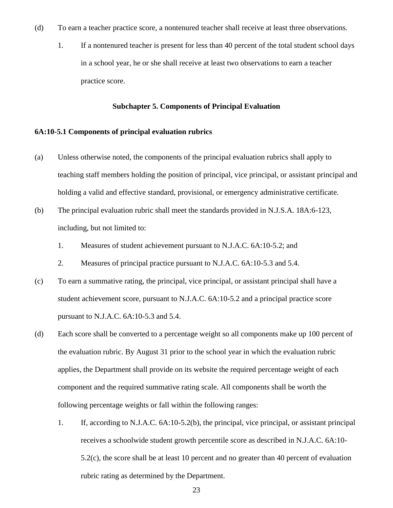- (d) To earn a teacher practice score, a nontenured teacher shall receive at least three observations.
	- 1. If a nontenured teacher is present for less than 40 percent of the total student school days in a school year, he or she shall receive at least two observations to earn a teacher practice score.

#### **Subchapter 5. Components of Principal Evaluation**

#### **6A:10-5.1 Components of principal evaluation rubrics**

- (a) Unless otherwise noted, the components of the principal evaluation rubrics shall apply to teaching staff members holding the position of principal, vice principal, or assistant principal and holding a valid and effective standard, provisional, or emergency administrative certificate.
- (b) The principal evaluation rubric shall meet the standards provided in N.J.S.A. 18A:6-123, including, but not limited to:
	- 1. Measures of student achievement pursuant to N.J.A.C. 6A:10-5.2; and
	- 2. Measures of principal practice pursuant to N.J.A.C. 6A:10-5.3 and 5.4.
- (c) To earn a summative rating, the principal, vice principal, or assistant principal shall have a student achievement score, pursuant to N.J.A.C. 6A:10-5.2 and a principal practice score pursuant to N.J.A.C. 6A:10-5.3 and 5.4.
- (d) Each score shall be converted to a percentage weight so all components make up 100 percent of the evaluation rubric. By August 31 prior to the school year in which the evaluation rubric applies, the Department shall provide on its website the required percentage weight of each component and the required summative rating scale. All components shall be worth the following percentage weights or fall within the following ranges:
	- 1. If, according to N.J.A.C. 6A:10-5.2(b), the principal, vice principal, or assistant principal receives a schoolwide student growth percentile score as described in N.J.A.C. 6A:10- 5.2(c), the score shall be at least 10 percent and no greater than 40 percent of evaluation rubric rating as determined by the Department.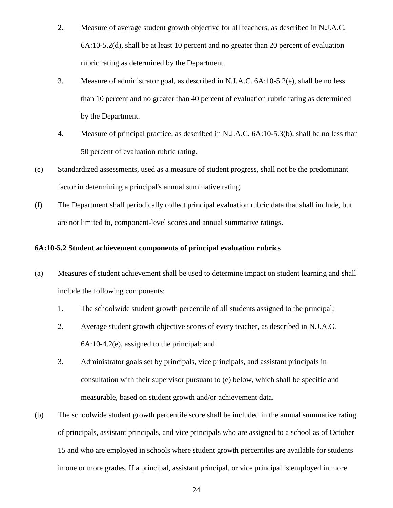- 2. Measure of average student growth objective for all teachers, as described in N.J.A.C. 6A:10-5.2(d), shall be at least 10 percent and no greater than 20 percent of evaluation rubric rating as determined by the Department.
- 3. Measure of administrator goal, as described in N.J.A.C. 6A:10-5.2(e), shall be no less than 10 percent and no greater than 40 percent of evaluation rubric rating as determined by the Department.
- 4. Measure of principal practice, as described in N.J.A.C. 6A:10-5.3(b), shall be no less than 50 percent of evaluation rubric rating.
- (e) Standardized assessments, used as a measure of student progress, shall not be the predominant factor in determining a principal's annual summative rating.
- (f) The Department shall periodically collect principal evaluation rubric data that shall include, but are not limited to, component-level scores and annual summative ratings.

## **6A:10-5.2 Student achievement components of principal evaluation rubrics**

- (a) Measures of student achievement shall be used to determine impact on student learning and shall include the following components:
	- 1. The schoolwide student growth percentile of all students assigned to the principal;
	- 2. Average student growth objective scores of every teacher, as described in N.J.A.C. 6A:10-4.2(e), assigned to the principal; and
	- 3. Administrator goals set by principals, vice principals, and assistant principals in consultation with their supervisor pursuant to (e) below, which shall be specific and measurable, based on student growth and/or achievement data.
- (b) The schoolwide student growth percentile score shall be included in the annual summative rating of principals, assistant principals, and vice principals who are assigned to a school as of October 15 and who are employed in schools where student growth percentiles are available for students in one or more grades. If a principal, assistant principal, or vice principal is employed in more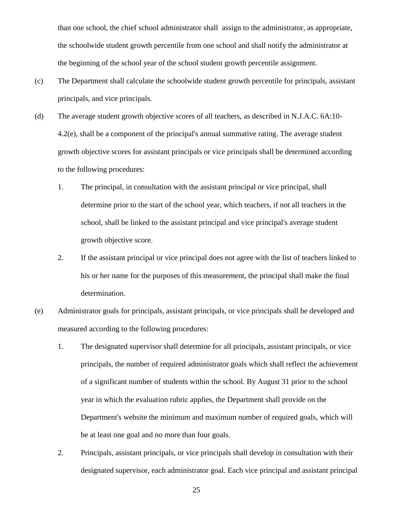than one school, the chief school administrator shall assign to the administrator, as appropriate, the schoolwide student growth percentile from one school and shall notify the administrator at the beginning of the school year of the school student growth percentile assignment.

- (c) The Department shall calculate the schoolwide student growth percentile for principals, assistant principals, and vice principals.
- (d) The average student growth objective scores of all teachers, as described in N.J.A.C. 6A:10- 4.2(e), shall be a component of the principal's annual summative rating. The average student growth objective scores for assistant principals or vice principals shall be determined according to the following procedures:
	- 1. The principal, in consultation with the assistant principal or vice principal, shall determine prior to the start of the school year, which teachers, if not all teachers in the school, shall be linked to the assistant principal and vice principal's average student growth objective score.
	- 2. If the assistant principal or vice principal does not agree with the list of teachers linked to his or her name for the purposes of this measurement, the principal shall make the final determination.
- (e) Administrator goals for principals, assistant principals, or vice principals shall be developed and measured according to the following procedures:
	- 1. The designated supervisor shall determine for all principals, assistant principals, or vice principals, the number of required administrator goals which shall reflect the achievement of a significant number of students within the school. By August 31 prior to the school year in which the evaluation rubric applies, the Department shall provide on the Department's website the minimum and maximum number of required goals, which will be at least one goal and no more than four goals.
	- 2. Principals, assistant principals, or vice principals shall develop in consultation with their designated supervisor, each administrator goal. Each vice principal and assistant principal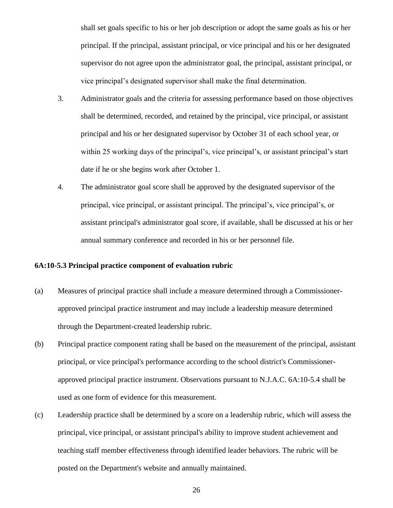shall set goals specific to his or her job description or adopt the same goals as his or her principal. If the principal, assistant principal, or vice principal and his or her designated supervisor do not agree upon the administrator goal, the principal, assistant principal, or vice principal's designated supervisor shall make the final determination.

- 3. Administrator goals and the criteria for assessing performance based on those objectives shall be determined, recorded, and retained by the principal, vice principal, or assistant principal and his or her designated supervisor by October 31 of each school year, or within 25 working days of the principal's, vice principal's, or assistant principal's start date if he or she begins work after October 1.
- 4. The administrator goal score shall be approved by the designated supervisor of the principal, vice principal, or assistant principal. The principal's, vice principal's, or assistant principal's administrator goal score, if available, shall be discussed at his or her annual summary conference and recorded in his or her personnel file.

#### **6A:10-5.3 Principal practice component of evaluation rubric**

- (a) Measures of principal practice shall include a measure determined through a Commissionerapproved principal practice instrument and may include a leadership measure determined through the Department-created leadership rubric.
- (b) Principal practice component rating shall be based on the measurement of the principal, assistant principal, or vice principal's performance according to the school district's Commissionerapproved principal practice instrument. Observations pursuant to N.J.A.C. 6A:10-5.4 shall be used as one form of evidence for this measurement.
- (c) Leadership practice shall be determined by a score on a leadership rubric, which will assess the principal, vice principal, or assistant principal's ability to improve student achievement and teaching staff member effectiveness through identified leader behaviors. The rubric will be posted on the Department's website and annually maintained.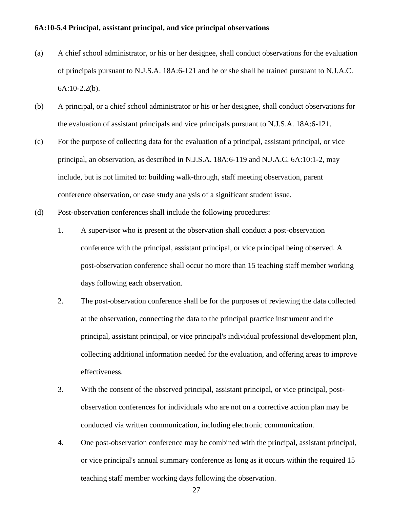#### **6A:10-5.4 Principal, assistant principal, and vice principal observations**

- (a) A chief school administrator, or his or her designee, shall conduct observations for the evaluation of principals pursuant to N.J.S.A. 18A:6-121 and he or she shall be trained pursuant to N.J.A.C. 6A:10-2.2(b).
- (b) A principal, or a chief school administrator or his or her designee, shall conduct observations for the evaluation of assistant principals and vice principals pursuant to N.J.S.A. 18A:6-121.
- (c) For the purpose of collecting data for the evaluation of a principal, assistant principal, or vice principal, an observation, as described in N.J.S.A. 18A:6-119 and N.J.A.C. 6A:10:1-2, may include, but is not limited to: building walk-through, staff meeting observation, parent conference observation, or case study analysis of a significant student issue.
- (d) Post-observation conferences shall include the following procedures:
	- 1. A supervisor who is present at the observation shall conduct a post-observation conference with the principal, assistant principal, or vice principal being observed. A post-observation conference shall occur no more than 15 teaching staff member working days following each observation.
	- 2. The post-observation conference shall be for the purpose**s** of reviewing the data collected at the observation, connecting the data to the principal practice instrument and the principal, assistant principal, or vice principal's individual professional development plan, collecting additional information needed for the evaluation, and offering areas to improve effectiveness.
	- 3. With the consent of the observed principal, assistant principal, or vice principal, postobservation conferences for individuals who are not on a corrective action plan may be conducted via written communication, including electronic communication.
	- 4. One post-observation conference may be combined with the principal, assistant principal, or vice principal's annual summary conference as long as it occurs within the required 15 teaching staff member working days following the observation.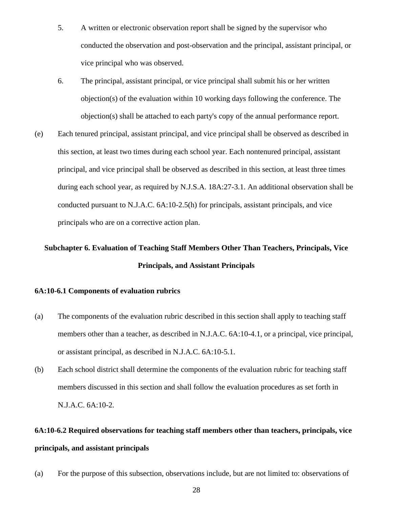- 5. A written or electronic observation report shall be signed by the supervisor who conducted the observation and post-observation and the principal, assistant principal, or vice principal who was observed.
- 6. The principal, assistant principal, or vice principal shall submit his or her written objection(s) of the evaluation within 10 working days following the conference. The objection(s) shall be attached to each party's copy of the annual performance report.
- (e) Each tenured principal, assistant principal, and vice principal shall be observed as described in this section, at least two times during each school year. Each nontenured principal, assistant principal, and vice principal shall be observed as described in this section, at least three times during each school year, as required by N.J.S.A. 18A:27-3.1. An additional observation shall be conducted pursuant to N.J.A.C. 6A:10-2.5(h) for principals, assistant principals, and vice principals who are on a corrective action plan.

# **Subchapter 6. Evaluation of Teaching Staff Members Other Than Teachers, Principals, Vice Principals, and Assistant Principals**

## **6A:10-6.1 Components of evaluation rubrics**

- (a) The components of the evaluation rubric described in this section shall apply to teaching staff members other than a teacher, as described in N.J.A.C. 6A:10-4.1, or a principal, vice principal, or assistant principal, as described in N.J.A.C. 6A:10-5.1.
- (b) Each school district shall determine the components of the evaluation rubric for teaching staff members discussed in this section and shall follow the evaluation procedures as set forth in N.J.A.C. 6A:10-2.

# **6A:10-6.2 Required observations for teaching staff members other than teachers, principals, vice principals, and assistant principals**

(a) For the purpose of this subsection, observations include, but are not limited to: observations of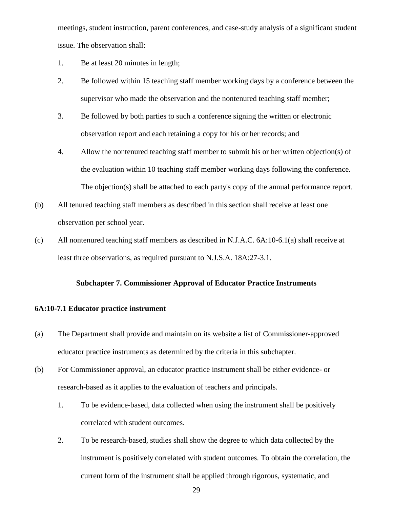meetings, student instruction, parent conferences, and case-study analysis of a significant student issue. The observation shall:

- 1. Be at least 20 minutes in length;
- 2. Be followed within 15 teaching staff member working days by a conference between the supervisor who made the observation and the nontenured teaching staff member;
- 3. Be followed by both parties to such a conference signing the written or electronic observation report and each retaining a copy for his or her records; and
- 4. Allow the nontenured teaching staff member to submit his or her written objection(s) of the evaluation within 10 teaching staff member working days following the conference. The objection(s) shall be attached to each party's copy of the annual performance report.
- (b) All tenured teaching staff members as described in this section shall receive at least one observation per school year.
- (c) All nontenured teaching staff members as described in N.J.A.C. 6A:10-6.1(a) shall receive at least three observations, as required pursuant to N.J.S.A. 18A:27-3.1.

#### **Subchapter 7. Commissioner Approval of Educator Practice Instruments**

#### **6A:10-7.1 Educator practice instrument**

- (a) The Department shall provide and maintain on its website a list of Commissioner-approved educator practice instruments as determined by the criteria in this subchapter.
- (b) For Commissioner approval, an educator practice instrument shall be either evidence- or research-based as it applies to the evaluation of teachers and principals.
	- 1. To be evidence-based, data collected when using the instrument shall be positively correlated with student outcomes.
	- 2. To be research-based, studies shall show the degree to which data collected by the instrument is positively correlated with student outcomes. To obtain the correlation, the current form of the instrument shall be applied through rigorous, systematic, and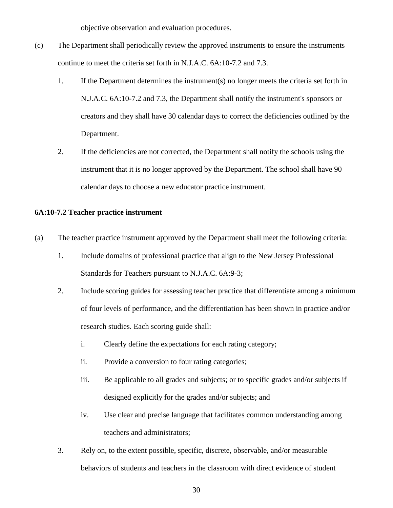objective observation and evaluation procedures.

- (c) The Department shall periodically review the approved instruments to ensure the instruments continue to meet the criteria set forth in N.J.A.C. 6A:10-7.2 and 7.3.
	- 1. If the Department determines the instrument(s) no longer meets the criteria set forth in N.J.A.C. 6A:10-7.2 and 7.3, the Department shall notify the instrument's sponsors or creators and they shall have 30 calendar days to correct the deficiencies outlined by the Department.
	- 2. If the deficiencies are not corrected, the Department shall notify the schools using the instrument that it is no longer approved by the Department. The school shall have 90 calendar days to choose a new educator practice instrument.

## **6A:10-7.2 Teacher practice instrument**

- (a) The teacher practice instrument approved by the Department shall meet the following criteria:
	- 1. Include domains of professional practice that align to the New Jersey Professional Standards for Teachers pursuant to N.J.A.C. 6A:9-3;
	- 2. Include scoring guides for assessing teacher practice that differentiate among a minimum of four levels of performance, and the differentiation has been shown in practice and/or research studies. Each scoring guide shall:
		- i. Clearly define the expectations for each rating category;
		- ii. Provide a conversion to four rating categories;
		- iii. Be applicable to all grades and subjects; or to specific grades and/or subjects if designed explicitly for the grades and/or subjects; and
		- iv. Use clear and precise language that facilitates common understanding among teachers and administrators;
	- 3. Rely on, to the extent possible, specific, discrete, observable, and/or measurable behaviors of students and teachers in the classroom with direct evidence of student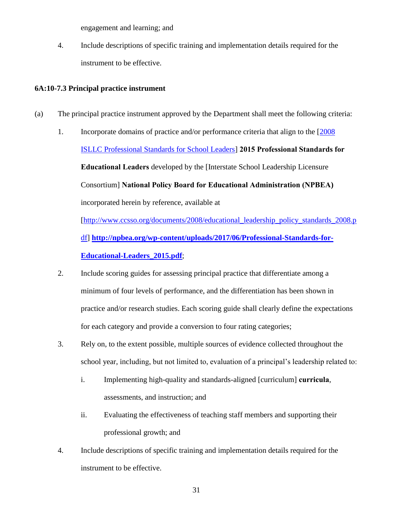engagement and learning; and

4. Include descriptions of specific training and implementation details required for the instrument to be effective.

## **6A:10-7.3 Principal practice instrument**

- (a) The principal practice instrument approved by the Department shall meet the following criteria:
	- 1. Incorporate domains of practice and/or performance criteria that align to the [\[2008](http://www.ccsso.org/documents/2008/educational_leadership_policy_standards_2008.pdf)  [ISLLC Professional Standards for School Leaders\]](http://www.ccsso.org/documents/2008/educational_leadership_policy_standards_2008.pdf) **2015 Professional Standards for Educational Leaders** developed by the [Interstate School Leadership Licensure Consortium] **National Policy Board for Educational Administration (NPBEA)**  incorporated herein by reference, available at [\[http://www.ccsso.org/documents/2008/educational\\_leadership\\_policy\\_standards\\_2008.p](http://www.ccsso.org/documents/2008/educational_leadership_policy_standards_2008.pdf) [df\]](http://www.ccsso.org/documents/2008/educational_leadership_policy_standards_2008.pdf) **[http://npbea.org/wp-content/uploads/2017/06/Professional-Standards-for-](http://npbea.org/wp-content/uploads/2017/06/Professional-Standards-for-Educational-Leaders_2015.pdf)[Educational-Leaders\\_2015.pdf](http://npbea.org/wp-content/uploads/2017/06/Professional-Standards-for-Educational-Leaders_2015.pdf)**;
	- 2. Include scoring guides for assessing principal practice that differentiate among a minimum of four levels of performance, and the differentiation has been shown in practice and/or research studies. Each scoring guide shall clearly define the expectations for each category and provide a conversion to four rating categories;
	- 3. Rely on, to the extent possible, multiple sources of evidence collected throughout the school year, including, but not limited to, evaluation of a principal's leadership related to:
		- i. Implementing high-quality and standards-aligned [curriculum] **curricula**, assessments, and instruction; and
		- ii. Evaluating the effectiveness of teaching staff members and supporting their professional growth; and
	- 4. Include descriptions of specific training and implementation details required for the instrument to be effective.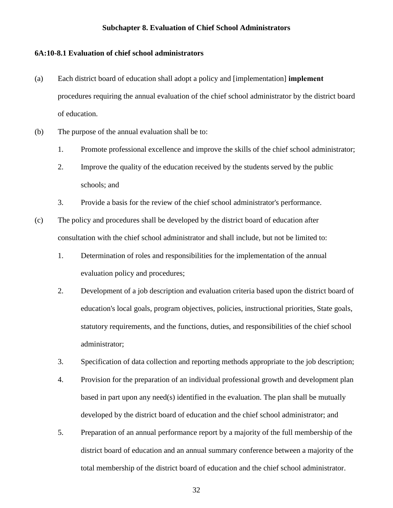#### **Subchapter 8. Evaluation of Chief School Administrators**

#### **6A:10-8.1 Evaluation of chief school administrators**

- (a) Each district board of education shall adopt a policy and [implementation] **implement** procedures requiring the annual evaluation of the chief school administrator by the district board of education.
- (b) The purpose of the annual evaluation shall be to:
	- 1. Promote professional excellence and improve the skills of the chief school administrator;
	- 2. Improve the quality of the education received by the students served by the public schools; and
	- 3. Provide a basis for the review of the chief school administrator's performance.
- (c) The policy and procedures shall be developed by the district board of education after consultation with the chief school administrator and shall include, but not be limited to:
	- 1. Determination of roles and responsibilities for the implementation of the annual evaluation policy and procedures;
	- 2. Development of a job description and evaluation criteria based upon the district board of education's local goals, program objectives, policies, instructional priorities, State goals, statutory requirements, and the functions, duties, and responsibilities of the chief school administrator;
	- 3. Specification of data collection and reporting methods appropriate to the job description;
	- 4. Provision for the preparation of an individual professional growth and development plan based in part upon any need(s) identified in the evaluation. The plan shall be mutually developed by the district board of education and the chief school administrator; and
	- 5. Preparation of an annual performance report by a majority of the full membership of the district board of education and an annual summary conference between a majority of the total membership of the district board of education and the chief school administrator.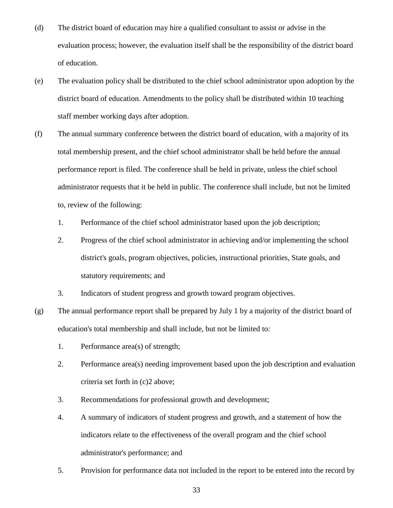- (d) The district board of education may hire a qualified consultant to assist or advise in the evaluation process; however, the evaluation itself shall be the responsibility of the district board of education.
- (e) The evaluation policy shall be distributed to the chief school administrator upon adoption by the district board of education. Amendments to the policy shall be distributed within 10 teaching staff member working days after adoption.
- (f) The annual summary conference between the district board of education, with a majority of its total membership present, and the chief school administrator shall be held before the annual performance report is filed. The conference shall be held in private, unless the chief school administrator requests that it be held in public. The conference shall include, but not be limited to, review of the following:
	- 1. Performance of the chief school administrator based upon the job description;
	- 2. Progress of the chief school administrator in achieving and/or implementing the school district's goals, program objectives, policies, instructional priorities, State goals, and statutory requirements; and
	- 3. Indicators of student progress and growth toward program objectives.
- (g) The annual performance report shall be prepared by July 1 by a majority of the district board of education's total membership and shall include, but not be limited to:
	- 1. Performance area(s) of strength;
	- 2. Performance area(s) needing improvement based upon the job description and evaluation criteria set forth in (c)2 above;
	- 3. Recommendations for professional growth and development;
	- 4. A summary of indicators of student progress and growth, and a statement of how the indicators relate to the effectiveness of the overall program and the chief school administrator's performance; and
	- 5. Provision for performance data not included in the report to be entered into the record by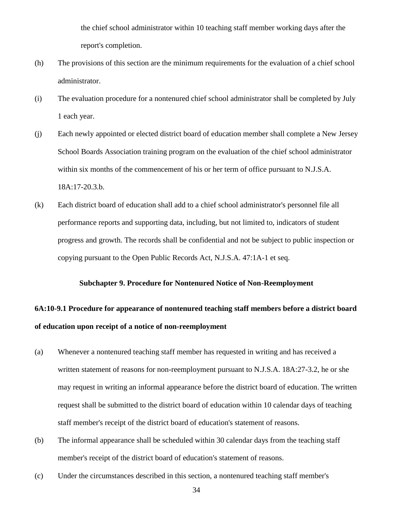the chief school administrator within 10 teaching staff member working days after the report's completion.

- (h) The provisions of this section are the minimum requirements for the evaluation of a chief school administrator.
- (i) The evaluation procedure for a nontenured chief school administrator shall be completed by July 1 each year.
- (j) Each newly appointed or elected district board of education member shall complete a New Jersey School Boards Association training program on the evaluation of the chief school administrator within six months of the commencement of his or her term of office pursuant to N.J.S.A. 18A:17-20.3.b.
- (k) Each district board of education shall add to a chief school administrator's personnel file all performance reports and supporting data, including, but not limited to, indicators of student progress and growth. The records shall be confidential and not be subject to public inspection or copying pursuant to the Open Public Records Act, N.J.S.A. 47:1A-1 et seq.

#### **Subchapter 9. Procedure for Nontenured Notice of Non-Reemployment**

## **6A:10-9.1 Procedure for appearance of nontenured teaching staff members before a district board of education upon receipt of a notice of non-reemployment**

- (a) Whenever a nontenured teaching staff member has requested in writing and has received a written statement of reasons for non-reemployment pursuant to N.J.S.A. 18A:27-3.2, he or she may request in writing an informal appearance before the district board of education. The written request shall be submitted to the district board of education within 10 calendar days of teaching staff member's receipt of the district board of education's statement of reasons.
- (b) The informal appearance shall be scheduled within 30 calendar days from the teaching staff member's receipt of the district board of education's statement of reasons.
- (c) Under the circumstances described in this section, a nontenured teaching staff member's